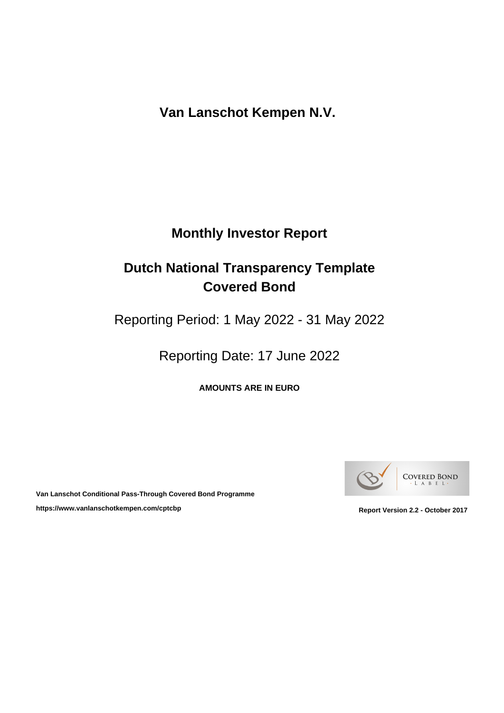**Van Lanschot Kempen N.V.** 

# **Monthly Investor Report**

# **Dutch National Transparency Template Covered Bond**

Reporting Period: 1 May 2022 - 31 May 2022

Reporting Date: 17 June 2022

**AMOUNTS ARE IN EURO**



**Van Lanschot Conditional Pass-Through Covered Bond Programme** https://www.vanlanschotkempen.com/cptcbp<br>
Report Version 2.2 - October 2017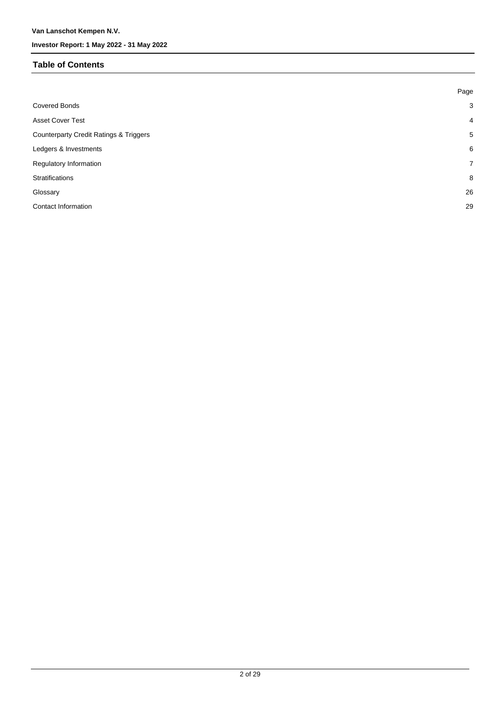### **Table of Contents**

|                                                   | Page           |
|---------------------------------------------------|----------------|
| <b>Covered Bonds</b>                              | $\mathbf{3}$   |
| <b>Asset Cover Test</b>                           | $\overline{4}$ |
| <b>Counterparty Credit Ratings &amp; Triggers</b> | 5              |
| Ledgers & Investments                             | 6              |
| Regulatory Information                            | $\overline{7}$ |
| Stratifications                                   | 8              |
| Glossary                                          | 26             |
| <b>Contact Information</b>                        | 29             |
|                                                   |                |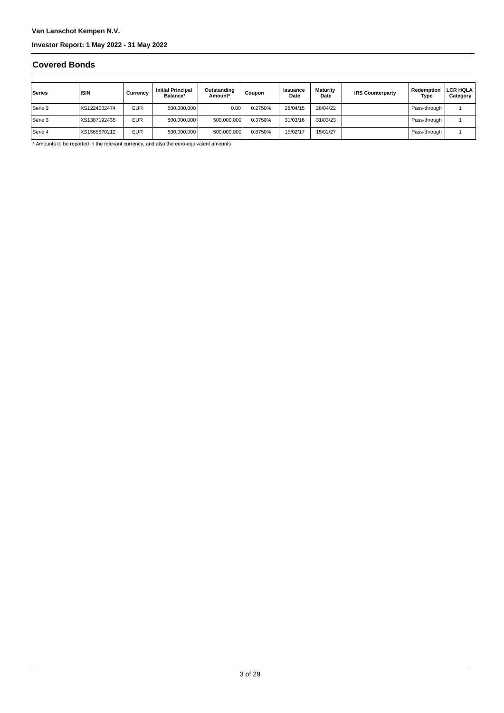### **Covered Bonds**

| Series    | <b>ISIN</b>  | Currencv   | <b>Initial Principal</b><br>Balance* | Outstanding<br>Amount* | Coupon  | <b>Issuance</b><br>Date | Maturity<br>Date | <b>IRS Counterparty</b> | Redemption<br>Type | <b>LCR HQLA</b><br>Category |
|-----------|--------------|------------|--------------------------------------|------------------------|---------|-------------------------|------------------|-------------------------|--------------------|-----------------------------|
| Serie 2   | XS1224002474 | <b>EUR</b> | 500,000,000                          | 0.00                   | 0.2750% | 28/04/15                | 28/04/22         |                         | Pass-through       |                             |
| l Serie 3 | XS1387192435 | <b>EUR</b> | 500,000,000                          | 500,000,000            | 0.3750% | 31/03/16                | 31/03/23         |                         | Pass-through       |                             |
| Serie 4   | XS1565570212 | <b>EUR</b> | 500,000,000                          | 500,000,000            | 0.8750% | 15/02/17                | 15/02/27         |                         | Pass-through       |                             |

\* Amounts to be reported in the relevant currency, and also the euro-equivalent amounts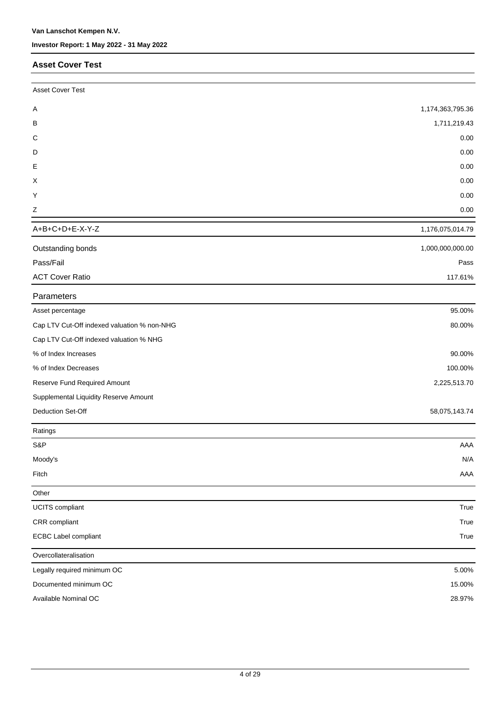### **Asset Cover Test**

| <b>Asset Cover Test</b>                     |                  |
|---------------------------------------------|------------------|
| Α                                           | 1,174,363,795.36 |
| B                                           | 1,711,219.43     |
| C                                           | 0.00             |
| D                                           | 0.00             |
| Е                                           | 0.00             |
| X                                           | 0.00             |
| Y                                           | 0.00             |
| $\mathsf Z$                                 | 0.00             |
| A+B+C+D+E-X-Y-Z                             | 1,176,075,014.79 |
| Outstanding bonds                           | 1,000,000,000.00 |
| Pass/Fail                                   | Pass             |
| <b>ACT Cover Ratio</b>                      | 117.61%          |
| Parameters                                  |                  |
| Asset percentage                            | 95.00%           |
| Cap LTV Cut-Off indexed valuation % non-NHG | 80.00%           |
| Cap LTV Cut-Off indexed valuation % NHG     |                  |
| % of Index Increases                        | 90.00%           |
| % of Index Decreases                        | 100.00%          |
| Reserve Fund Required Amount                | 2,225,513.70     |
| Supplemental Liquidity Reserve Amount       |                  |
| Deduction Set-Off                           | 58,075,143.74    |
| Ratings                                     |                  |
| S&P                                         | AAA              |
| Moody's                                     | N/A              |
| Fitch                                       | AAA              |
| Other                                       |                  |
| UCITS compliant                             | True             |
| CRR compliant                               | True             |
| ECBC Label compliant                        | True             |
| Overcollateralisation                       |                  |
| Legally required minimum OC                 | 5.00%            |
| Documented minimum OC                       | 15.00%           |
| Available Nominal OC                        | 28.97%           |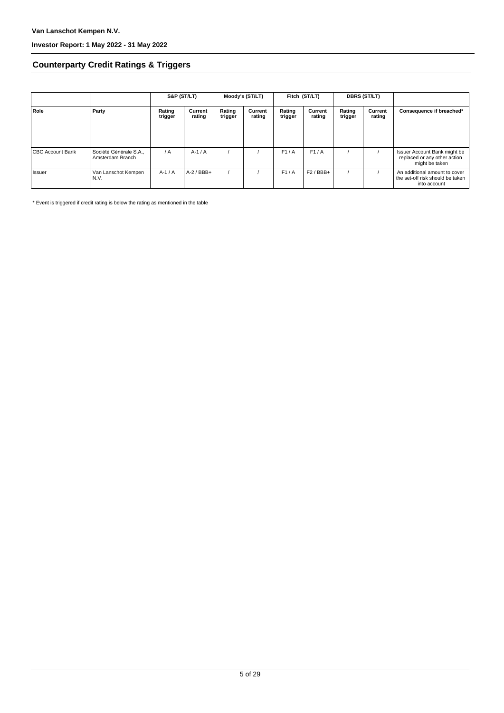### **Counterparty Credit Ratings & Triggers**

|                         |                                            | S&P (ST/LT)       |                   | Moody's (ST/LT)   |                   | Fitch (ST/LT)     |                   | <b>DBRS (ST/LT)</b> |                   |                                                                                   |  |
|-------------------------|--------------------------------------------|-------------------|-------------------|-------------------|-------------------|-------------------|-------------------|---------------------|-------------------|-----------------------------------------------------------------------------------|--|
| Role                    | Party                                      | Rating<br>trigger | Current<br>rating | Rating<br>trigger | Current<br>rating | Rating<br>trigger | Current<br>rating | Rating<br>trigger   | Current<br>rating | Consequence if breached*                                                          |  |
| <b>CBC Account Bank</b> | Société Générale S.A.,<br>Amsterdam Branch | / A               | $A-1/A$           |                   |                   | F1/A              | F1/A              |                     |                   | Issuer Account Bank might be<br>replaced or any other action<br>might be taken    |  |
| l Issuer                | Van Lanschot Kempen<br>N.V.                | $A-1/A$           | $A-2$ / BBB+      |                   |                   | F1/A              | $F2/BBB+$         |                     |                   | An additional amount to cover<br>the set-off risk should be taken<br>into account |  |

\* Event is triggered if credit rating is below the rating as mentioned in the table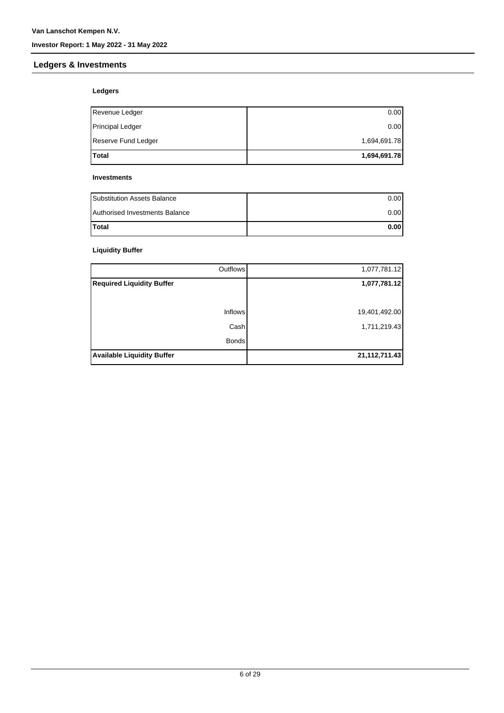### **Ledgers & Investments**

### **Ledgers**

| <b>Total</b>            | 1,694,691.78 |
|-------------------------|--------------|
| Reserve Fund Ledger     | 1,694,691.78 |
| <b>Principal Ledger</b> | 0.00         |
| Revenue Ledger          | 0.00         |

#### **Investments**

| <b>Substitution Assets Balance</b> | 0.001 |
|------------------------------------|-------|
| Authorised Investments Balance     | 0.001 |
| <b>Total</b>                       | 0.001 |

### **Liquidity Buffer**

| Outflows                          | 1,077,781.12     |
|-----------------------------------|------------------|
| <b>Required Liquidity Buffer</b>  | 1,077,781.12     |
|                                   |                  |
| Inflows                           | 19,401,492.00    |
| Cash                              | 1,711,219.43     |
| <b>Bonds</b>                      |                  |
| <b>Available Liquidity Buffer</b> | 21, 112, 711. 43 |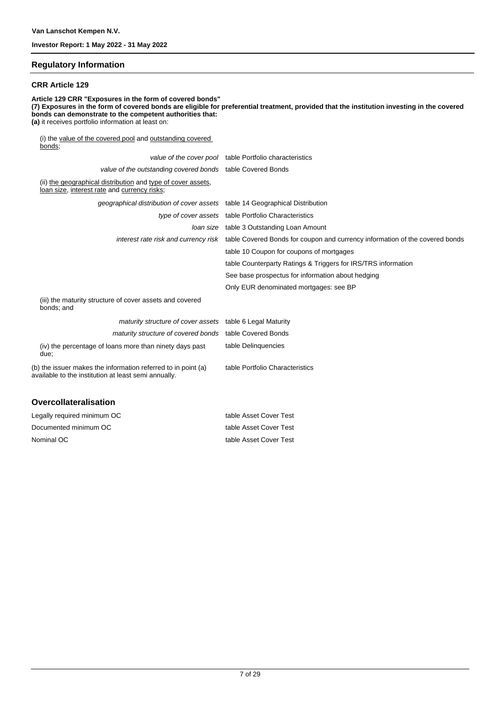#### **Regulatory Information**

#### **CRR Article 129**

**Article 129 CRR "Exposures in the form of covered bonds" (7) Exposures in the form of covered bonds are eligible for preferential treatment, provided that the institution investing in the covered bonds can demonstrate to the competent authorities that: (a)** it receives portfolio information at least on: (i) the value of the covered pool and outstanding covered bonds; value of the cover pool table Portfolio characteristics

| value of the outstanding covered bonds table Covered Bonds                                                            |                                                                                                                   |
|-----------------------------------------------------------------------------------------------------------------------|-------------------------------------------------------------------------------------------------------------------|
| (ii) the geographical distribution and type of cover assets,<br>loan size, interest rate and currency risks;          |                                                                                                                   |
| geographical distribution of cover assets table 14 Geographical Distribution                                          |                                                                                                                   |
|                                                                                                                       | type of cover assets table Portfolio Characteristics                                                              |
|                                                                                                                       | Joan size table 3 Outstanding Loan Amount                                                                         |
|                                                                                                                       | interest rate risk and currency risk table Covered Bonds for coupon and currency information of the covered bonds |
|                                                                                                                       | table 10 Coupon for coupons of mortgages                                                                          |
|                                                                                                                       | table Counterparty Ratings & Triggers for IRS/TRS information                                                     |
|                                                                                                                       | See base prospectus for information about hedging                                                                 |
|                                                                                                                       | Only EUR denominated mortgages: see BP                                                                            |
| (iii) the maturity structure of cover assets and covered<br>bonds; and                                                |                                                                                                                   |
| maturity structure of cover assets table 6 Legal Maturity                                                             |                                                                                                                   |
| maturity structure of covered bonds table Covered Bonds                                                               |                                                                                                                   |
| (iv) the percentage of loans more than ninety days past<br>due;                                                       | table Delinquencies                                                                                               |
| (b) the issuer makes the information referred to in point (a)<br>available to the institution at least semi annually. | table Portfolio Characteristics                                                                                   |
|                                                                                                                       |                                                                                                                   |

#### **Overcollateralisation**

| Legally required minimum OC | table Asset Cover Test |
|-----------------------------|------------------------|
| Documented minimum OC       | table Asset Cover Test |
| Nominal OC                  | table Asset Cover Test |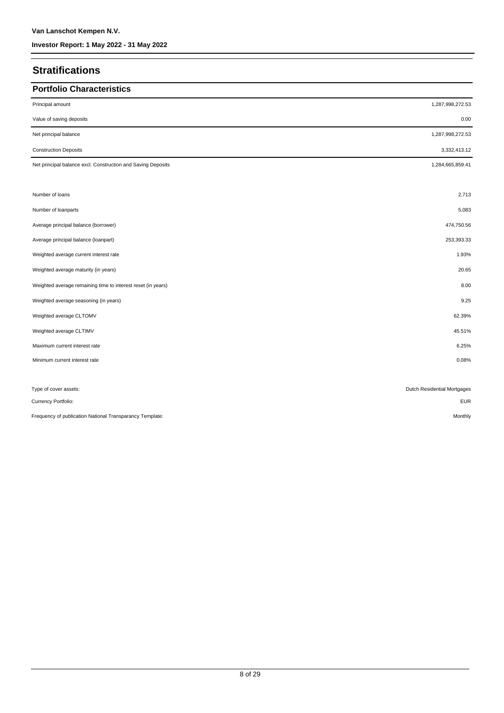### **Stratifications**

| <b>Portfolio Characteristics</b>                             |                             |
|--------------------------------------------------------------|-----------------------------|
| Principal amount                                             | 1,287,998,272.53            |
| Value of saving deposits                                     | 0.00                        |
| Net principal balance                                        | 1,287,998,272.53            |
| <b>Construction Deposits</b>                                 | 3,332,413.12                |
| Net principal balance excl. Construction and Saving Deposits | 1,284,665,859.41            |
| Number of loans                                              | 2,713                       |
| Number of loanparts                                          | 5,083                       |
| Average principal balance (borrower)                         | 474,750.56                  |
| Average principal balance (loanpart)                         | 253,393.33                  |
| Weighted average current interest rate                       | 1.93%                       |
| Weighted average maturity (in years)                         | 20.65                       |
| Weighted average remaining time to interest reset (in years) | 8.00                        |
| Weighted average seasoning (in years)                        | 9.25                        |
| Weighted average CLTOMV                                      | 62.39%                      |
| Weighted average CLTIMV                                      | 45.51%                      |
| Maximum current interest rate                                | 6.25%                       |
| Minimum current interest rate                                | 0.08%                       |
| Type of cover assets:                                        | Dutch Residential Mortgages |
| Currency Portfolio:                                          | <b>EUR</b>                  |
| Frequency of publication National Transparancy Template:     | Monthly                     |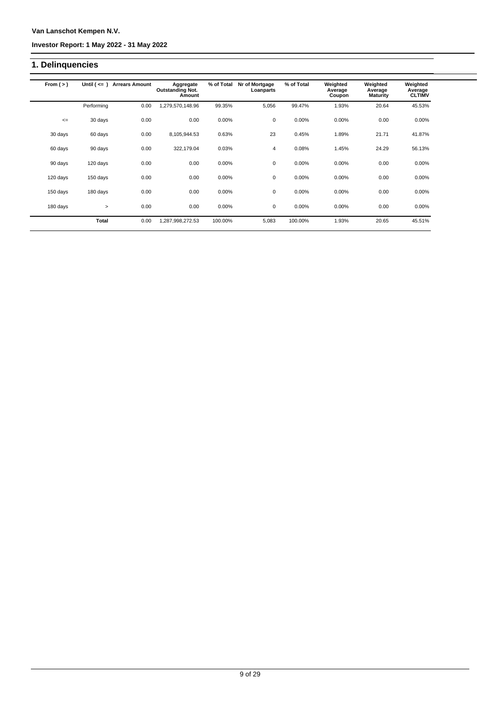### **Van Lanschot Kempen N.V.**

### **Investor Report: 1 May 2022 - 31 May 2022**

### **1. Delinquencies**

| From $(>)$ | Until $($ $\leq$ $=$ $)$ | <b>Arrears Amount</b> | Aggregate<br><b>Outstanding Not.</b><br>Amount | % of Total | Nr of Mortgage<br>Loanparts | % of Total | Weighted<br>Average<br>Coupon | Weighted<br>Average<br><b>Maturity</b> | Weighted<br>Average<br><b>CLTIMV</b> |
|------------|--------------------------|-----------------------|------------------------------------------------|------------|-----------------------------|------------|-------------------------------|----------------------------------------|--------------------------------------|
|            | Performing               | 0.00                  | 1,279,570,148.96                               | 99.35%     | 5,056                       | 99.47%     | 1.93%                         | 20.64                                  | 45.53%                               |
| $\leq$     | 30 days                  | 0.00                  | 0.00                                           | 0.00%      | 0                           | 0.00%      | 0.00%                         | 0.00                                   | 0.00%                                |
| 30 days    | 60 days                  | 0.00                  | 8,105,944.53                                   | 0.63%      | 23                          | 0.45%      | 1.89%                         | 21.71                                  | 41.87%                               |
| 60 days    | 90 days                  | 0.00                  | 322,179.04                                     | 0.03%      | 4                           | 0.08%      | 1.45%                         | 24.29                                  | 56.13%                               |
| 90 days    | 120 days                 | 0.00                  | 0.00                                           | 0.00%      | $\mathbf 0$                 | 0.00%      | 0.00%                         | 0.00                                   | 0.00%                                |
| 120 days   | 150 days                 | 0.00                  | 0.00                                           | 0.00%      | 0                           | 0.00%      | 0.00%                         | 0.00                                   | 0.00%                                |
| 150 days   | 180 days                 | 0.00                  | 0.00                                           | 0.00%      | 0                           | 0.00%      | $0.00\%$                      | 0.00                                   | 0.00%                                |
| 180 days   | $\geq$                   | 0.00                  | 0.00                                           | $0.00\%$   | 0                           | $0.00\%$   | $0.00\%$                      | 0.00                                   | $0.00\%$                             |
|            | <b>Total</b>             | 0.00                  | 1,287,998,272.53                               | 100.00%    | 5,083                       | 100.00%    | 1.93%                         | 20.65                                  | 45.51%                               |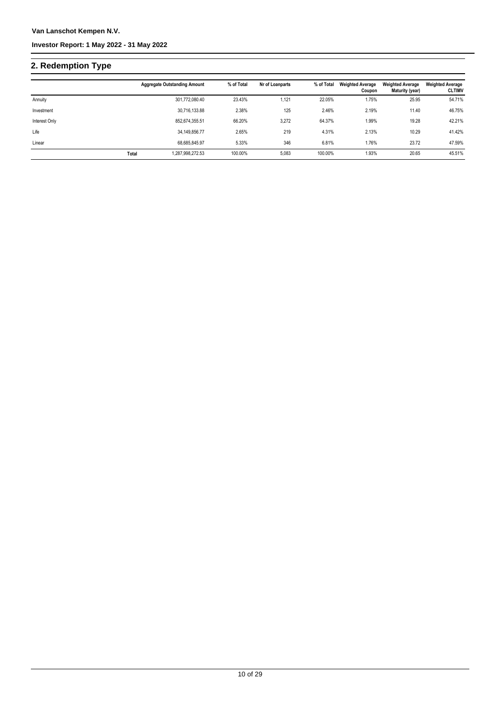# **2. Redemption Type**

|               |       | <b>Aggregate Outstanding Amount</b> | % of Total | Nr of Loanparts | % of Total | <b>Weighted Average</b><br>Coupon | <b>Weighted Average</b><br>Maturity (year) | <b>Weighted Average</b><br><b>CLTIMV</b> |
|---------------|-------|-------------------------------------|------------|-----------------|------------|-----------------------------------|--------------------------------------------|------------------------------------------|
| Annuity       |       | 301,772,080.40                      | 23.43%     | 1,121           | 22.05%     | 1.75%                             | 25.95                                      | 54.71%                                   |
| Investment    |       | 30,716,133.88                       | 2.38%      | 125             | 2.46%      | 2.19%                             | 11.40                                      | 46.75%                                   |
| Interest Only |       | 852,674,355.51                      | 66.20%     | 3.272           | 64.37%     | 1.99%                             | 19.28                                      | 42.21%                                   |
| Life          |       | 34,149,856.77                       | 2.65%      | 219             | 4.31%      | 2.13%                             | 10.29                                      | 41.42%                                   |
| Linear        |       | 68.685.845.97                       | 5.33%      | 346             | 6.81%      | 1.76%                             | 23.72                                      | 47.59%                                   |
|               | Total | 1,287,998,272.53                    | 100.00%    | 5,083           | 100.00%    | 1.93%                             | 20.65                                      | 45.51%                                   |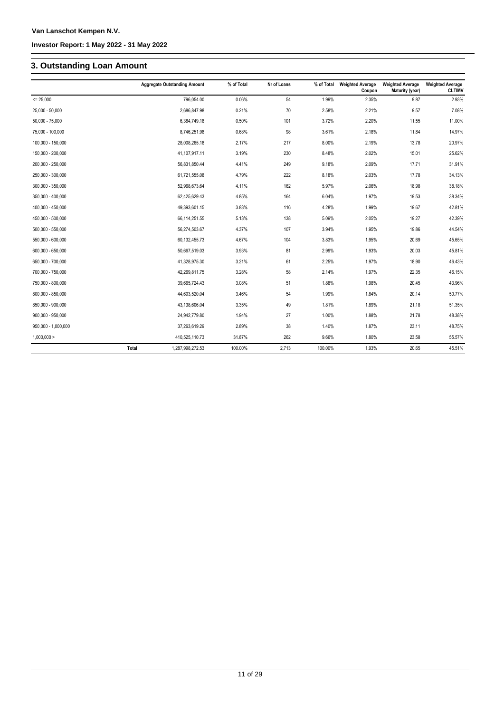## **3. Outstanding Loan Amount**

|                     |       | <b>Aggregate Outstanding Amount</b> | % of Total | Nr of Loans | % of Total | <b>Weighted Average</b><br>Coupon | <b>Weighted Average</b><br>Maturity (year) | <b>Weighted Average</b><br><b>CLTIMV</b> |
|---------------------|-------|-------------------------------------|------------|-------------|------------|-----------------------------------|--------------------------------------------|------------------------------------------|
| $= 25,000$          |       | 796,054.00                          | 0.06%      | 54          | 1.99%      | 2.35%                             | 9.87                                       | 2.93%                                    |
| 25,000 - 50,000     |       | 2,686,847.98                        | 0.21%      | 70          | 2.58%      | 2.21%                             | 9.57                                       | 7.08%                                    |
| $50,000 - 75,000$   |       | 6,384,749.18                        | 0.50%      | 101         | 3.72%      | 2.20%                             | 11.55                                      | 11.00%                                   |
| 75,000 - 100,000    |       | 8,746,251.98                        | 0.68%      | 98          | 3.61%      | 2.18%                             | 11.84                                      | 14.97%                                   |
| 100,000 - 150,000   |       | 28,008,265.18                       | 2.17%      | 217         | 8.00%      | 2.19%                             | 13.78                                      | 20.97%                                   |
| 150,000 - 200,000   |       | 41,107,917.11                       | 3.19%      | 230         | 8.48%      | 2.02%                             | 15.01                                      | 25.62%                                   |
| 200,000 - 250,000   |       | 56,831,850.44                       | 4.41%      | 249         | 9.18%      | 2.09%                             | 17.71                                      | 31.91%                                   |
| 250,000 - 300,000   |       | 61,721,555.08                       | 4.79%      | 222         | 8.18%      | 2.03%                             | 17.78                                      | 34.13%                                   |
| 300,000 - 350,000   |       | 52,968,673.64                       | 4.11%      | 162         | 5.97%      | 2.06%                             | 18.98                                      | 38.18%                                   |
| 350,000 - 400,000   |       | 62,425,629.43                       | 4.85%      | 164         | 6.04%      | 1.97%                             | 19.53                                      | 38.34%                                   |
| 400,000 - 450,000   |       | 49,393,601.15                       | 3.83%      | 116         | 4.28%      | 1.99%                             | 19.67                                      | 42.81%                                   |
| 450,000 - 500,000   |       | 66,114,251.55                       | 5.13%      | 138         | 5.09%      | 2.05%                             | 19.27                                      | 42.39%                                   |
| 500,000 - 550,000   |       | 56,274,503.67                       | 4.37%      | 107         | 3.94%      | 1.95%                             | 19.86                                      | 44.54%                                   |
| 550,000 - 600,000   |       | 60,132,455.73                       | 4.67%      | 104         | 3.83%      | 1.95%                             | 20.69                                      | 45.65%                                   |
| 600,000 - 650,000   |       | 50,667,519.03                       | 3.93%      | 81          | 2.99%      | 1.93%                             | 20.03                                      | 45.81%                                   |
| 650,000 - 700,000   |       | 41,328,975.30                       | 3.21%      | 61          | 2.25%      | 1.97%                             | 18.90                                      | 46.43%                                   |
| 700,000 - 750,000   |       | 42,269,811.75                       | 3.28%      | 58          | 2.14%      | 1.97%                             | 22.35                                      | 46.15%                                   |
| 750,000 - 800,000   |       | 39,665,724.43                       | 3.08%      | 51          | 1.88%      | 1.98%                             | 20.45                                      | 43.96%                                   |
| 800,000 - 850,000   |       | 44,603,520.04                       | 3.46%      | 54          | 1.99%      | 1.84%                             | 20.14                                      | 50.77%                                   |
| 850,000 - 900,000   |       | 43,138,606.04                       | 3.35%      | 49          | 1.81%      | 1.89%                             | 21.18                                      | 51.35%                                   |
| 900,000 - 950,000   |       | 24,942,779.80                       | 1.94%      | 27          | 1.00%      | 1.88%                             | 21.78                                      | 48.38%                                   |
| 950,000 - 1,000,000 |       | 37,263,619.29                       | 2.89%      | 38          | 1.40%      | 1.87%                             | 23.11                                      | 48.75%                                   |
| 1,000,000 >         |       | 410,525,110.73                      | 31.87%     | 262         | 9.66%      | 1.80%                             | 23.58                                      | 55.57%                                   |
|                     | Total | 1,287,998,272.53                    | 100.00%    | 2,713       | 100.00%    | 1.93%                             | 20.65                                      | 45.51%                                   |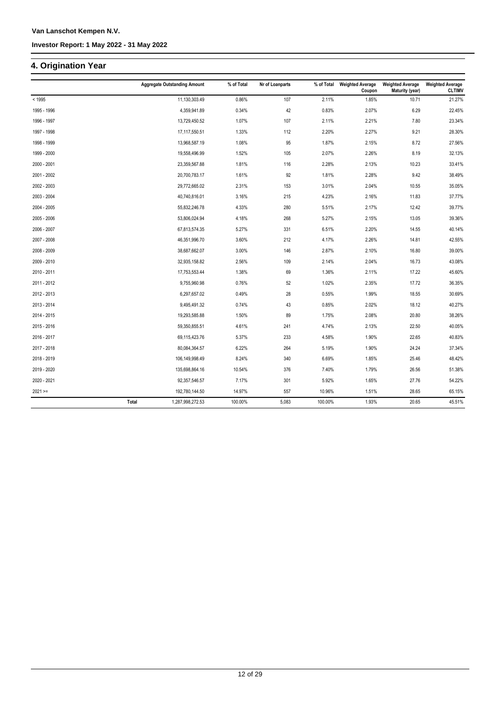### **4. Origination Year**

|             | <b>Aggregate Outstanding Amount</b> | % of Total | Nr of Loanparts | % of Total | <b>Weighted Average</b><br>Coupon | <b>Weighted Average</b><br>Maturity (year) | <b>Weighted Average</b><br><b>CLTIMV</b> |
|-------------|-------------------------------------|------------|-----------------|------------|-----------------------------------|--------------------------------------------|------------------------------------------|
| < 1995      | 11,130,303.49                       | 0.86%      | 107             | 2.11%      | 1.85%                             | 10.71                                      | 21.27%                                   |
| 1995 - 1996 | 4,359,941.89                        | 0.34%      | 42              | 0.83%      | 2.07%                             | 6.29                                       | 22.45%                                   |
| 1996 - 1997 | 13,729,450.52                       | 1.07%      | 107             | 2.11%      | 2.21%                             | 7.80                                       | 23.34%                                   |
| 1997 - 1998 | 17,117,550.51                       | 1.33%      | 112             | 2.20%      | 2.27%                             | 9.21                                       | 28.30%                                   |
| 1998 - 1999 | 13,968,587.19                       | 1.08%      | 95              | 1.87%      | 2.15%                             | 8.72                                       | 27.56%                                   |
| 1999 - 2000 | 19,558,496.99                       | 1.52%      | 105             | 2.07%      | 2.26%                             | 8.19                                       | 32.13%                                   |
| 2000 - 2001 | 23,359,567.88                       | 1.81%      | 116             | 2.28%      | 2.13%                             | 10.23                                      | 33.41%                                   |
| 2001 - 2002 | 20,700,783.17                       | 1.61%      | 92              | 1.81%      | 2.28%                             | 9.42                                       | 38.49%                                   |
| 2002 - 2003 | 29,772,665.02                       | 2.31%      | 153             | 3.01%      | 2.04%                             | 10.55                                      | 35.05%                                   |
| 2003 - 2004 | 40,740,816.01                       | 3.16%      | 215             | 4.23%      | 2.16%                             | 11.83                                      | 37.77%                                   |
| 2004 - 2005 | 55,832,246.78                       | 4.33%      | 280             | 5.51%      | 2.17%                             | 12.42                                      | 39.77%                                   |
| 2005 - 2006 | 53,806,024.94                       | 4.18%      | 268             | 5.27%      | 2.15%                             | 13.05                                      | 39.36%                                   |
| 2006 - 2007 | 67,813,574.35                       | 5.27%      | 331             | 6.51%      | 2.20%                             | 14.55                                      | 40.14%                                   |
| 2007 - 2008 | 46,351,996.70                       | 3.60%      | 212             | 4.17%      | 2.26%                             | 14.81                                      | 42.55%                                   |
| 2008 - 2009 | 38,687,662.07                       | 3.00%      | 146             | 2.87%      | 2.10%                             | 16.80                                      | 39.00%                                   |
| 2009 - 2010 | 32,935,158.82                       | 2.56%      | 109             | 2.14%      | 2.04%                             | 16.73                                      | 43.08%                                   |
| 2010 - 2011 | 17,753,553.44                       | 1.38%      | 69              | 1.36%      | 2.11%                             | 17.22                                      | 45.60%                                   |
| 2011 - 2012 | 9,755,960.98                        | 0.76%      | 52              | 1.02%      | 2.35%                             | 17.72                                      | 36.35%                                   |
| 2012 - 2013 | 6,297,657.02                        | 0.49%      | 28              | 0.55%      | 1.99%                             | 18.55                                      | 30.69%                                   |
| 2013 - 2014 | 9,495,491.32                        | 0.74%      | 43              | 0.85%      | 2.02%                             | 18.12                                      | 40.27%                                   |
| 2014 - 2015 | 19,293,585.88                       | 1.50%      | 89              | 1.75%      | 2.08%                             | 20.80                                      | 38.26%                                   |
| 2015 - 2016 | 59,350,855.51                       | 4.61%      | 241             | 4.74%      | 2.13%                             | 22.50                                      | 40.05%                                   |
| 2016 - 2017 | 69,115,423.76                       | 5.37%      | 233             | 4.58%      | 1.90%                             | 22.65                                      | 40.83%                                   |
| 2017 - 2018 | 80,084,364.57                       | 6.22%      | 264             | 5.19%      | 1.90%                             | 24.24                                      | 37.34%                                   |
| 2018 - 2019 | 106,149,998.49                      | 8.24%      | 340             | 6.69%      | 1.85%                             | 25.46                                      | 48.42%                                   |
| 2019 - 2020 | 135,698,864.16                      | 10.54%     | 376             | 7.40%      | 1.79%                             | 26.56                                      | 51.38%                                   |
| 2020 - 2021 | 92,357,546.57                       | 7.17%      | 301             | 5.92%      | 1.65%                             | 27.76                                      | 54.22%                                   |
| $2021 ==$   | 192,780,144.50                      | 14.97%     | 557             | 10.96%     | 1.51%                             | 28.65                                      | 65.15%                                   |
|             | 1,287,998,272.53<br>Total           | 100.00%    | 5,083           | 100.00%    | 1.93%                             | 20.65                                      | 45.51%                                   |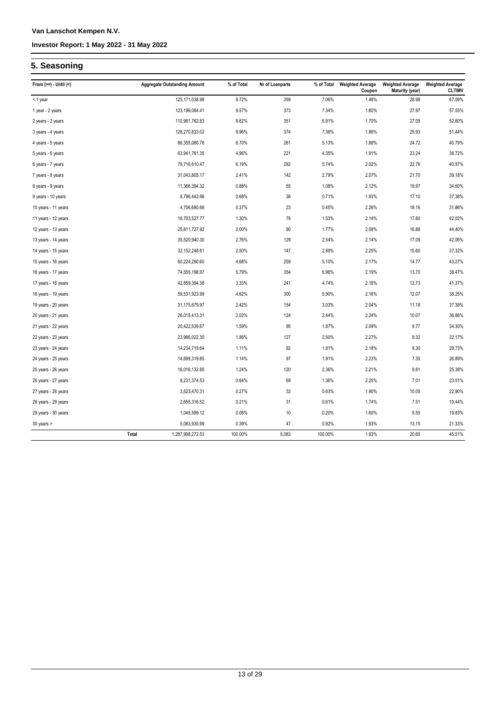### **5. Seasoning**

| From $(>=) -$ Until $($ |       | <b>Aggregate Outstanding Amount</b> | % of Total | Nr of Loanparts | % of Total | <b>Weighted Average</b><br>Coupon | <b>Weighted Average</b><br><b>Maturity (year)</b> | <b>Weighted Average</b><br><b>CLTIMV</b> |
|-------------------------|-------|-------------------------------------|------------|-----------------|------------|-----------------------------------|---------------------------------------------------|------------------------------------------|
| < 1 year                |       | 125, 171, 038.98                    | 9.72%      | 359             | 7.06%      | 1.48%                             | 28.98                                             | 67.09%                                   |
| 1 year - 2 years        |       | 123,199,084.41                      | 9.57%      | 373             | 7.34%      | 1.60%                             | 27.97                                             | 57.55%                                   |
| 2 years - 3 years       |       | 110,981,762.83                      | 8.62%      | 351             | 6.91%      | 1.70%                             | 27.09                                             | 52.60%                                   |
| 3 years - 4 years       |       | 128,270,833.02                      | 9.96%      | 374             | 7.36%      | 1.86%                             | 25.93                                             | 51.44%                                   |
| 4 years - 5 years       |       | 86,355,080.76                       | 6.70%      | 261             | 5.13%      | 1.88%                             | 24.72                                             | 40.79%                                   |
| 5 years - 6 years       |       | 63,941,761.35                       | 4.96%      | 221             | 4.35%      | 1.91%                             | 23.24                                             | 38.72%                                   |
| 6 years - 7 years       |       | 79,716,610.47                       | 6.19%      | 292             | 5.74%      | 2.02%                             | 22.76                                             | 40.97%                                   |
| 7 years - 8 years       |       | 31,043,805.17                       | 2.41%      | 142             | 2.79%      | 2.07%                             | 21.70                                             | 39.18%                                   |
| 8 years - 9 years       |       | 11,366,394.32                       | 0.88%      | 55              | 1.08%      | 2.12%                             | 19.97                                             | 34.60%                                   |
| 9 years - 10 years      |       | 8,796,443.96                        | 0.68%      | 36              | 0.71%      | 1.93%                             | 17.10                                             | 37.38%                                   |
| 10 years - 11 years     |       | 4,706,680.66                        | 0.37%      | 23              | 0.45%      | 2.26%                             | 18.16                                             | 31.86%                                   |
| 11 years - 12 years     |       | 16,703,527.77                       | 1.30%      | 78              | 1.53%      | 2.14%                             | 17.80                                             | 42.02%                                   |
| 12 years - 13 years     |       | 25,811,727.92                       | 2.00%      | 90              | 1.77%      | 2.08%                             | 16.88                                             | 44.40%                                   |
| 13 years - 14 years     |       | 35,520,940.30                       | 2.76%      | 129             | 2.54%      | 2.14%                             | 17.09                                             | 42.06%                                   |
| 14 years - 15 years     |       | 32, 152, 248.61                     | 2.50%      | 147             | 2.89%      | 2.25%                             | 15.60                                             | 37.32%                                   |
| 15 years - 16 years     |       | 60,224,290.60                       | 4.68%      | 259             | 5.10%      | 2.17%                             | 14.77                                             | 43.27%                                   |
| 16 years - 17 years     |       | 74,555,198.97                       | 5.79%      | 354             | 6.96%      | 2.19%                             | 13.70                                             | 38.47%                                   |
| 17 years - 18 years     |       | 42,859,394.38                       | 3.33%      | 241             | 4.74%      | 2.18%                             | 12.73                                             | 41.37%                                   |
| 18 years - 19 years     |       | 59,531,923.99                       | 4.62%      | 300             | 5.90%      | 2.16%                             | 12.07                                             | 38.25%                                   |
| 19 years - 20 years     |       | 31,175,679.97                       | 2.42%      | 154             | 3.03%      | 2.04%                             | 11.18                                             | 37.38%                                   |
| 20 years - 21 years     |       | 26,015,413.31                       | 2.02%      | 124             | 2.44%      | 2.24%                             | 10.07                                             | 36.86%                                   |
| 21 years - 22 years     |       | 20,422,539.67                       | 1.59%      | 95              | 1.87%      | 2.09%                             | 9.77                                              | 34.30%                                   |
| 22 years - 23 years     |       | 23,986,022.30                       | 1.86%      | 127             | 2.50%      | 2.27%                             | 9.32                                              | 32.17%                                   |
| 23 years - 24 years     |       | 14,234,719.64                       | 1.11%      | 92              | 1.81%      | 2.18%                             | 8.30                                              | 29.73%                                   |
| 24 years - 25 years     |       | 14,699,319.85                       | 1.14%      | 97              | 1.91%      | 2.23%                             | 7.35                                              | 26.89%                                   |
| 25 years - 26 years     |       | 16,016,132.85                       | 1.24%      | 120             | 2.36%      | 2.21%                             | 9.81                                              | 25.38%                                   |
| 26 years - 27 years     |       | 8,231,374.53                        | 0.64%      | 69              | 1.36%      | 2.25%                             | 7.01                                              | 23.51%                                   |
| 27 years - 28 years     |       | 3,523,470.31                        | 0.27%      | 32              | 0.63%      | 1.90%                             | 10.05                                             | 22.90%                                   |
| 28 years - 29 years     |       | 2,655,316.52                        | 0.21%      | 31              | 0.61%      | 1.74%                             | 7.51                                              | 19.44%                                   |
| 29 years - 30 years     |       | 1,045,599.12                        | 0.08%      | $10$            | 0.20%      | 1.60%                             | 5.55                                              | 19.83%                                   |
| 30 years >              |       | 5,083,935.99                        | 0.39%      | 47              | 0.92%      | 1.93%                             | 13.15                                             | 21.33%                                   |
|                         | Total | 1,287,998,272.53                    | 100.00%    | 5,083           | 100.00%    | 1.93%                             | 20.65                                             | 45.51%                                   |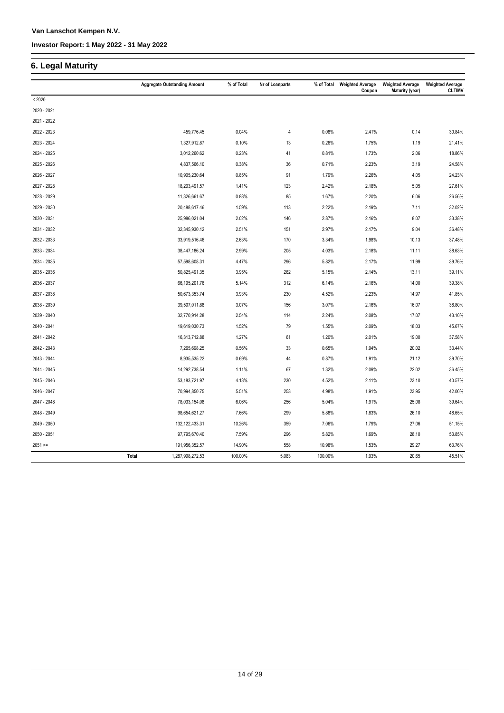### **6. Legal Maturity**

|             |       | <b>Aggregate Outstanding Amount</b> | % of Total | Nr of Loanparts | % of Total | <b>Weighted Average</b><br>Coupon | <b>Weighted Average</b><br><b>Maturity (year)</b> | <b>Weighted Average</b><br><b>CLTIMV</b> |
|-------------|-------|-------------------------------------|------------|-----------------|------------|-----------------------------------|---------------------------------------------------|------------------------------------------|
| < 2020      |       |                                     |            |                 |            |                                   |                                                   |                                          |
| 2020 - 2021 |       |                                     |            |                 |            |                                   |                                                   |                                          |
| 2021 - 2022 |       |                                     |            |                 |            |                                   |                                                   |                                          |
| 2022 - 2023 |       | 459,776.45                          | 0.04%      | 4               | 0.08%      | 2.41%                             | 0.14                                              | 30.84%                                   |
| 2023 - 2024 |       | 1,327,912.87                        | 0.10%      | 13              | 0.26%      | 1.75%                             | 1.19                                              | 21.41%                                   |
| 2024 - 2025 |       | 3,012,260.62                        | 0.23%      | 41              | 0.81%      | 1.73%                             | 2.06                                              | 18.86%                                   |
| 2025 - 2026 |       | 4,837,566.10                        | 0.38%      | 36              | 0.71%      | 2.23%                             | 3.19                                              | 24.58%                                   |
| 2026 - 2027 |       | 10,905,230.64                       | 0.85%      | 91              | 1.79%      | 2.26%                             | 4.05                                              | 24.23%                                   |
| 2027 - 2028 |       | 18,203,491.57                       | 1.41%      | 123             | 2.42%      | 2.18%                             | 5.05                                              | 27.61%                                   |
| 2028 - 2029 |       | 11,326,661.67                       | 0.88%      | 85              | 1.67%      | 2.20%                             | 6.06                                              | 26.56%                                   |
| 2029 - 2030 |       | 20,488,617.46                       | 1.59%      | 113             | 2.22%      | 2.19%                             | 7.11                                              | 32.02%                                   |
| 2030 - 2031 |       | 25,986,021.04                       | 2.02%      | 146             | 2.87%      | 2.16%                             | 8.07                                              | 33.38%                                   |
| 2031 - 2032 |       | 32,345,930.12                       | 2.51%      | 151             | 2.97%      | 2.17%                             | 9.04                                              | 36.48%                                   |
| 2032 - 2033 |       | 33,919,516.46                       | 2.63%      | 170             | 3.34%      | 1.98%                             | 10.13                                             | 37.48%                                   |
| 2033 - 2034 |       | 38,447,186.24                       | 2.99%      | 205             | 4.03%      | 2.18%                             | 11.11                                             | 38.63%                                   |
| 2034 - 2035 |       | 57,598,608.31                       | 4.47%      | 296             | 5.82%      | 2.17%                             | 11.99                                             | 39.76%                                   |
| 2035 - 2036 |       | 50,825,491.35                       | 3.95%      | 262             | 5.15%      | 2.14%                             | 13.11                                             | 39.11%                                   |
| 2036 - 2037 |       | 66,195,201.76                       | 5.14%      | 312             | 6.14%      | 2.16%                             | 14.00                                             | 39.38%                                   |
| 2037 - 2038 |       | 50,673,353.74                       | 3.93%      | 230             | 4.52%      | 2.23%                             | 14.97                                             | 41.85%                                   |
| 2038 - 2039 |       | 39,507,011.88                       | 3.07%      | 156             | 3.07%      | 2.16%                             | 16.07                                             | 38.80%                                   |
| 2039 - 2040 |       | 32,770,914.28                       | 2.54%      | 114             | 2.24%      | 2.08%                             | 17.07                                             | 43.10%                                   |
| 2040 - 2041 |       | 19,619,030.73                       | 1.52%      | 79              | 1.55%      | 2.09%                             | 18.03                                             | 45.67%                                   |
| 2041 - 2042 |       | 16,313,712.88                       | 1.27%      | 61              | 1.20%      | 2.01%                             | 19.00                                             | 37.58%                                   |
| 2042 - 2043 |       | 7,265,698.25                        | 0.56%      | 33              | 0.65%      | 1.94%                             | 20.02                                             | 33.44%                                   |
| 2043 - 2044 |       | 8,935,535.22                        | 0.69%      | 44              | 0.87%      | 1.91%                             | 21.12                                             | 39.70%                                   |
| 2044 - 2045 |       | 14,292,738.54                       | 1.11%      | 67              | 1.32%      | 2.09%                             | 22.02                                             | 36.45%                                   |
| 2045 - 2046 |       | 53, 183, 721. 97                    | 4.13%      | 230             | 4.52%      | 2.11%                             | 23.10                                             | 40.57%                                   |
| 2046 - 2047 |       | 70,994,850.75                       | 5.51%      | 253             | 4.98%      | 1.91%                             | 23.95                                             | 42.00%                                   |
| 2047 - 2048 |       | 78,033,154.08                       | 6.06%      | 256             | 5.04%      | 1.91%                             | 25.08                                             | 39.64%                                   |
| 2048 - 2049 |       | 98,654,621.27                       | 7.66%      | 299             | 5.88%      | 1.83%                             | 26.10                                             | 48.65%                                   |
| 2049 - 2050 |       | 132, 122, 433. 31                   | 10.26%     | 359             | 7.06%      | 1.79%                             | 27.06                                             | 51.15%                                   |
| 2050 - 2051 |       | 97,795,670.40                       | 7.59%      | 296             | 5.82%      | 1.69%                             | 28.10                                             | 53.85%                                   |
| $2051 =$    |       | 191,956,352.57                      | 14.90%     | 558             | 10.98%     | 1.53%                             | 29.27                                             | 63.76%                                   |
|             | Total | 1,287,998,272.53                    | 100.00%    | 5,083           | 100.00%    | 1.93%                             | 20.65                                             | 45.51%                                   |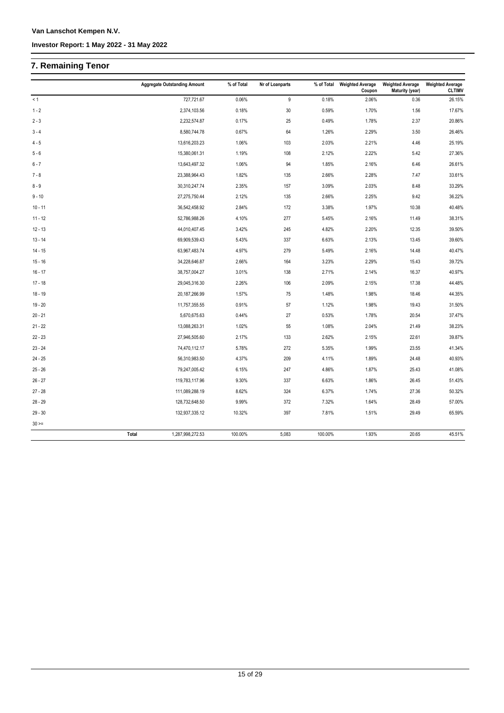## **7. Remaining Tenor**

|             | <b>Aggregate Outstanding Amount</b> | % of Total | Nr of Loanparts | % of Total | <b>Weighted Average</b><br>Coupon | <b>Weighted Average</b><br>Maturity (year) | <b>Weighted Average</b><br><b>CLTIMV</b> |
|-------------|-------------------------------------|------------|-----------------|------------|-----------------------------------|--------------------------------------------|------------------------------------------|
| < 1         | 727,721.67                          | 0.06%      | 9               | 0.18%      | 2.06%                             | 0.36                                       | 26.15%                                   |
| $1 - 2$     | 2,374,103.56                        | 0.18%      | 30              | 0.59%      | 1.70%                             | 1.56                                       | 17.67%                                   |
| $2 - 3$     | 2,232,574.87                        | 0.17%      | 25              | 0.49%      | 1.78%                             | 2.37                                       | 20.86%                                   |
| $3 - 4$     | 8,580,744.78                        | 0.67%      | 64              | 1.26%      | 2.29%                             | 3.50                                       | 26.46%                                   |
| $4 - 5$     | 13,616,203.23                       | 1.06%      | 103             | 2.03%      | 2.21%                             | 4.46                                       | 25.19%                                   |
| $5 - 6$     | 15,380,061.31                       | 1.19%      | 108             | 2.12%      | 2.22%                             | 5.42                                       | 27.36%                                   |
| $6 - 7$     | 13,643,497.32                       | 1.06%      | 94              | 1.85%      | 2.16%                             | 6.46                                       | 26.61%                                   |
| $7 - 8$     | 23,388,964.43                       | 1.82%      | 135             | 2.66%      | 2.28%                             | 7.47                                       | 33.61%                                   |
| $8 - 9$     | 30,310,247.74                       | 2.35%      | 157             | 3.09%      | 2.03%                             | 8.48                                       | 33.29%                                   |
| $9 - 10$    | 27,275,750.44                       | 2.12%      | 135             | 2.66%      | 2.25%                             | 9.42                                       | 36.22%                                   |
| $10 - 11$   | 36,542,458.92                       | 2.84%      | 172             | 3.38%      | 1.97%                             | 10.38                                      | 40.48%                                   |
| $11 - 12$   | 52,786,988.26                       | 4.10%      | 277             | 5.45%      | 2.16%                             | 11.49                                      | 38.31%                                   |
| $12 - 13$   | 44,010,407.45                       | 3.42%      | 245             | 4.82%      | 2.20%                             | 12.35                                      | 39.50%                                   |
| $13 - 14$   | 69,909,539.43                       | 5.43%      | 337             | 6.63%      | 2.13%                             | 13.45                                      | 39.60%                                   |
| $14 - 15$   | 63,967,483.74                       | 4.97%      | 279             | 5.49%      | 2.16%                             | 14.48                                      | 40.47%                                   |
| $15 - 16$   | 34,228,646.87                       | 2.66%      | 164             | 3.23%      | 2.29%                             | 15.43                                      | 39.72%                                   |
| $16 - 17$   | 38,757,004.27                       | 3.01%      | 138             | 2.71%      | 2.14%                             | 16.37                                      | 40.97%                                   |
| $17 - 18$   | 29,045,316.30                       | 2.26%      | 106             | 2.09%      | 2.15%                             | 17.38                                      | 44.48%                                   |
| $18 - 19$   | 20,187,266.99                       | 1.57%      | 75              | 1.48%      | 1.98%                             | 18.46                                      | 44.35%                                   |
| $19 - 20$   | 11,757,355.55                       | 0.91%      | 57              | 1.12%      | 1.98%                             | 19.43                                      | 31.50%                                   |
| $20 - 21$   | 5,670,675.63                        | 0.44%      | 27              | 0.53%      | 1.78%                             | 20.54                                      | 37.47%                                   |
| $21 - 22$   | 13,088,263.31                       | 1.02%      | 55              | 1.08%      | 2.04%                             | 21.49                                      | 38.23%                                   |
| $22 - 23$   | 27,946,505.60                       | 2.17%      | 133             | 2.62%      | 2.15%                             | 22.61                                      | 39.87%                                   |
| $23 - 24$   | 74,470,112.17                       | 5.78%      | 272             | 5.35%      | 1.99%                             | 23.55                                      | 41.34%                                   |
| $24 - 25$   | 56,310,983.50                       | 4.37%      | 209             | 4.11%      | 1.89%                             | 24.48                                      | 40.93%                                   |
| $25 - 26$   | 79,247,005.42                       | 6.15%      | 247             | 4.86%      | 1.87%                             | 25.43                                      | 41.08%                                   |
| $26 - 27$   | 119,783,117.96                      | 9.30%      | 337             | 6.63%      | 1.86%                             | 26.45                                      | 51.43%                                   |
| $27 - 28$   | 111,089,288.19                      | 8.62%      | 324             | 6.37%      | 1.74%                             | 27.36                                      | 50.32%                                   |
| $28 - 29$   | 128,732,648.50                      | 9.99%      | 372             | 7.32%      | 1.64%                             | 28.49                                      | 57.00%                                   |
| $29 - 30$   | 132,937,335.12                      | 10.32%     | 397             | 7.81%      | 1.51%                             | 29.49                                      | 65.59%                                   |
| $30 \geq 1$ |                                     |            |                 |            |                                   |                                            |                                          |
|             | 1,287,998,272.53<br>Total           | 100.00%    | 5,083           | 100.00%    | 1.93%                             | 20.65                                      | 45.51%                                   |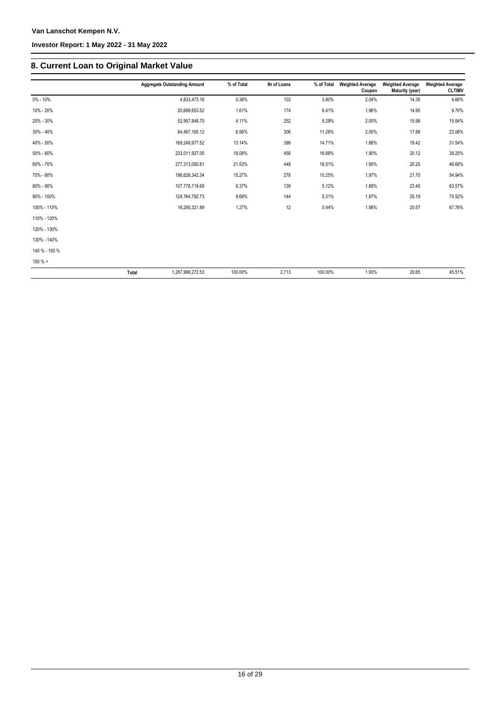### **8. Current Loan to Original Market Value**

|               | <b>Aggregate Outstanding Amount</b> | % of Total | Nr of Loans | % of Total | <b>Weighted Average</b><br>Coupon | <b>Weighted Average</b><br>Maturity (year) | <b>Weighted Average</b><br><b>CLTIMV</b> |
|---------------|-------------------------------------|------------|-------------|------------|-----------------------------------|--------------------------------------------|------------------------------------------|
| $0\% - 10\%$  | 4,833,473.16                        | 0.38%      | 103         | 3.80%      | 2.04%                             | 14.35                                      | 4.66%                                    |
| 10% - 20%     | 20,699,653.52                       | 1.61%      | 174         | 6.41%      | 1.96%                             | 14.95                                      | 9.70%                                    |
| 20% - 30%     | 52,957,848.70                       | 4.11%      | 252         | 9.29%      | 2.00%                             | 15.98                                      | 15.84%                                   |
| 30% - 40%     | 84,467,165.12                       | 6.56%      | 306         | 11.28%     | 2.00%                             | 17.88                                      | 23.06%                                   |
| 40% - 50%     | 169,249,977.52                      | 13.14%     | 399         | 14.71%     | 1.88%                             | 19.42                                      | 31.54%                                   |
| 50% - 60%     | 233,011,927.05                      | 18.09%     | 458         | 16.88%     | 1.90%                             | 20.12                                      | 39.25%                                   |
| 60% - 70%     | 277,313,050.81                      | 21.53%     | 448         | 16.51%     | 1.95%                             | 20.25                                      | 46.68%                                   |
| 70% - 80%     | 196,626,342.34                      | 15.27%     | 278         | 10.25%     | 1.97%                             | 21.70                                      | 54.94%                                   |
| 80% - 90%     | 107,778,719.69                      | 8.37%      | 139         | 5.12%      | 1.89%                             | 23.45                                      | 63.57%                                   |
| 90% - 100%    | 124,764,792.73                      | 9.69%      | 144         | 5.31%      | 1.87%                             | 25.19                                      | 75.52%                                   |
| 100% - 110%   | 16,295,321.89                       | 1.27%      | 12          | 0.44%      | 1.98%                             | 20.57                                      | 67.76%                                   |
| 110% - 120%   |                                     |            |             |            |                                   |                                            |                                          |
| 120% - 130%   |                                     |            |             |            |                                   |                                            |                                          |
| 130% - 140%   |                                     |            |             |            |                                   |                                            |                                          |
| 140 % - 150 % |                                     |            |             |            |                                   |                                            |                                          |
| 150%          |                                     |            |             |            |                                   |                                            |                                          |
|               | Total<br>1,287,998,272.53           | 100.00%    | 2,713       | 100.00%    | 1.93%                             | 20.65                                      | 45.51%                                   |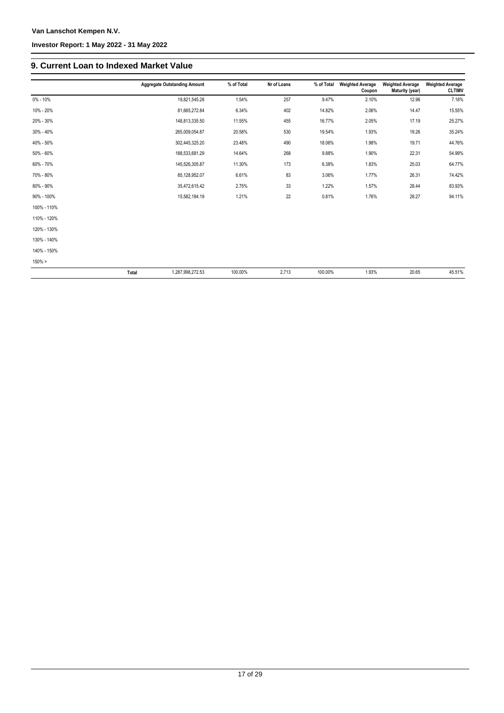### **9. Current Loan to Indexed Market Value**

|             | <b>Aggregate Outstanding Amount</b> | % of Total | Nr of Loans | % of Total | <b>Weighted Average</b><br>Coupon | <b>Weighted Average</b><br>Maturity (year) | <b>Weighted Average</b><br><b>CLTIMV</b> |
|-------------|-------------------------------------|------------|-------------|------------|-----------------------------------|--------------------------------------------|------------------------------------------|
| 0% - 10%    | 19,821,545.28                       | 1.54%      | 257         | 9.47%      | 2.10%                             | 12.96                                      | 7.18%                                    |
| 10% - 20%   | 81,665,272.84                       | 6.34%      | 402         | 14.82%     | 2.06%                             | 14.47                                      | 15.55%                                   |
| 20% - 30%   | 148,813,335.50                      | 11.55%     | 455         | 16.77%     | 2.05%                             | 17.19                                      | 25.27%                                   |
| 30% - 40%   | 265,009,054.87                      | 20.58%     | 530         | 19.54%     | 1.93%                             | 19.26                                      | 35.24%                                   |
| 40% - 50%   | 302,445,325.20                      | 23.48%     | 490         | 18.06%     | 1.98%                             | 19.71                                      | 44.76%                                   |
| 50% - 60%   | 188,533,681.29                      | 14.64%     | 268         | 9.88%      | 1.90%                             | 22.31                                      | 54.99%                                   |
| 60% - 70%   | 145,526,305.87                      | 11.30%     | 173         | 6.38%      | 1.83%                             | 25.03                                      | 64.77%                                   |
| 70% - 80%   | 85,128,952.07                       | 6.61%      | 83          | 3.06%      | 1.77%                             | 26.31                                      | 74.42%                                   |
| 80% - 90%   | 35,472,615.42                       | 2.75%      | 33          | 1.22%      | 1.57%                             | 28.44                                      | 83.93%                                   |
| 90% - 100%  | 15,582,184.19                       | 1.21%      | 22          | 0.81%      | 1.76%                             | 28.27                                      | 94.11%                                   |
| 100% - 110% |                                     |            |             |            |                                   |                                            |                                          |
| 110% - 120% |                                     |            |             |            |                                   |                                            |                                          |
| 120% - 130% |                                     |            |             |            |                                   |                                            |                                          |
| 130% - 140% |                                     |            |             |            |                                   |                                            |                                          |
| 140% - 150% |                                     |            |             |            |                                   |                                            |                                          |
| $150\% >$   |                                     |            |             |            |                                   |                                            |                                          |
|             | Total<br>1,287,998,272.53           | 100.00%    | 2,713       | 100.00%    | 1.93%                             | 20.65                                      | 45.51%                                   |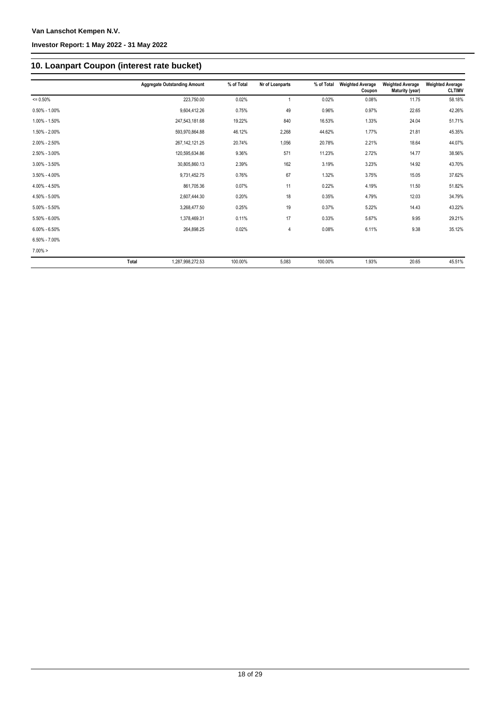### **10. Loanpart Coupon (interest rate bucket)**

|                   |       | <b>Aggregate Outstanding Amount</b> | % of Total | Nr of Loanparts | % of Total | <b>Weighted Average</b><br>Coupon | <b>Weighted Average</b><br>Maturity (year) | <b>Weighted Average</b><br><b>CLTIMV</b> |
|-------------------|-------|-------------------------------------|------------|-----------------|------------|-----------------------------------|--------------------------------------------|------------------------------------------|
| $= 0.50%$         |       | 223,750.00                          | 0.02%      | $\mathbf{1}$    | 0.02%      | 0.08%                             | 11.75                                      | 58.18%                                   |
| $0.50\% - 1.00\%$ |       | 9,604,412.26                        | 0.75%      | 49              | 0.96%      | 0.97%                             | 22.65                                      | 42.26%                                   |
| 1.00% - 1.50%     |       | 247,543,181.68                      | 19.22%     | 840             | 16.53%     | 1.33%                             | 24.04                                      | 51.71%                                   |
| 1.50% - 2.00%     |       | 593,970,864.88                      | 46.12%     | 2,268           | 44.62%     | 1.77%                             | 21.81                                      | 45.35%                                   |
| 2.00% - 2.50%     |       | 267, 142, 121.25                    | 20.74%     | 1,056           | 20.78%     | 2.21%                             | 18.64                                      | 44.07%                                   |
| 2.50% - 3.00%     |       | 120,595,634.86                      | 9.36%      | 571             | 11.23%     | 2.72%                             | 14.77                                      | 38.56%                                   |
| $3.00\% - 3.50\%$ |       | 30,805,860.13                       | 2.39%      | 162             | 3.19%      | 3.23%                             | 14.92                                      | 43.70%                                   |
| $3.50\% - 4.00\%$ |       | 9,731,452.75                        | 0.76%      | 67              | 1.32%      | 3.75%                             | 15.05                                      | 37.62%                                   |
| 4.00% - 4.50%     |       | 861,705.36                          | 0.07%      | 11              | 0.22%      | 4.19%                             | 11.50                                      | 51.82%                                   |
| 4.50% - 5.00%     |       | 2,607,444.30                        | 0.20%      | 18              | 0.35%      | 4.79%                             | 12.03                                      | 34.79%                                   |
| $5.00\% - 5.50\%$ |       | 3.268.477.50                        | 0.25%      | 19              | 0.37%      | 5.22%                             | 14.43                                      | 43.22%                                   |
| 5.50% - 6.00%     |       | 1,378,469.31                        | 0.11%      | 17              | 0.33%      | 5.67%                             | 9.95                                       | 29.21%                                   |
| $6.00\% - 6.50\%$ |       | 264,898.25                          | 0.02%      | $\overline{4}$  | 0.08%      | 6.11%                             | 9.38                                       | 35.12%                                   |
| $6.50\% - 7.00\%$ |       |                                     |            |                 |            |                                   |                                            |                                          |
| $7.00\% >$        |       |                                     |            |                 |            |                                   |                                            |                                          |
|                   | Total | 1.287.998.272.53                    | 100.00%    | 5,083           | 100.00%    | 1.93%                             | 20.65                                      | 45.51%                                   |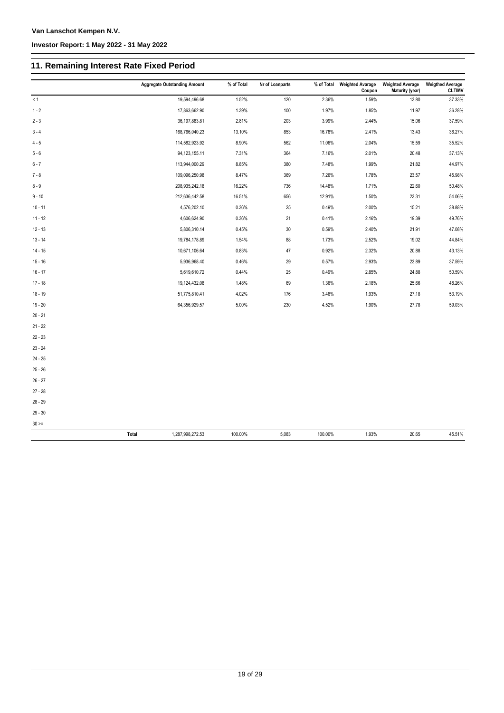### **11. Remaining Interest Rate Fixed Period**

|             | <b>Aggregate Outstanding Amount</b> | % of Total | Nr of Loanparts |         | % of Total Weighted Avarage<br>Coupon | <b>Weighted Average</b><br>Maturity (year) | <b>Weigthed Average</b><br><b>CLTIMV</b> |
|-------------|-------------------------------------|------------|-----------------|---------|---------------------------------------|--------------------------------------------|------------------------------------------|
| < 1         | 19,594,496.68                       | 1.52%      | 120             | 2.36%   | 1.59%                                 | 13.80                                      | 37.33%                                   |
| $1 - 2$     | 17,863,662.90                       | 1.39%      | 100             | 1.97%   | 1.85%                                 | 11.97                                      | 36.28%                                   |
| $2 - 3$     | 36, 197, 883.81                     | 2.81%      | 203             | 3.99%   | 2.44%                                 | 15.06                                      | 37.59%                                   |
| $3 - 4$     | 168,766,040.23                      | 13.10%     | 853             | 16.78%  | 2.41%                                 | 13.43                                      | 36.27%                                   |
| $4 - 5$     | 114,582,923.92                      | 8.90%      | 562             | 11.06%  | 2.04%                                 | 15.59                                      | 35.52%                                   |
| $5 - 6$     | 94, 123, 155. 11                    | 7.31%      | 364             | 7.16%   | 2.01%                                 | 20.48                                      | 37.13%                                   |
| $6 - 7$     | 113,944,000.29                      | 8.85%      | 380             | 7.48%   | 1.99%                                 | 21.82                                      | 44.97%                                   |
| $7 - 8$     | 109,096,250.98                      | 8.47%      | 369             | 7.26%   | 1.78%                                 | 23.57                                      | 45.98%                                   |
| $8 - 9$     | 208,935,242.18                      | 16.22%     | 736             | 14.48%  | 1.71%                                 | 22.60                                      | 50.48%                                   |
| $9 - 10$    | 212,636,442.58                      | 16.51%     | 656             | 12.91%  | 1.50%                                 | 23.31                                      | 54.06%                                   |
| $10 - 11$   | 4,576,202.10                        | 0.36%      | 25              | 0.49%   | 2.00%                                 | 15.21                                      | 38.88%                                   |
| $11 - 12$   | 4,606,624.90                        | 0.36%      | 21              | 0.41%   | 2.16%                                 | 19.39                                      | 49.76%                                   |
| $12 - 13$   | 5,806,310.14                        | 0.45%      | $30\,$          | 0.59%   | 2.40%                                 | 21.91                                      | 47.08%                                   |
| $13 - 14$   | 19,784,178.89                       | 1.54%      | 88              | 1.73%   | 2.52%                                 | 19.02                                      | 44.84%                                   |
| $14 - 15$   | 10,671,106.64                       | 0.83%      | 47              | 0.92%   | 2.32%                                 | 20.88                                      | 43.13%                                   |
| $15 - 16$   | 5,936,968.40                        | 0.46%      | 29              | 0.57%   | 2.93%                                 | 23.89                                      | 37.59%                                   |
| $16 - 17$   | 5,619,610.72                        | 0.44%      | 25              | 0.49%   | 2.85%                                 | 24.88                                      | 50.59%                                   |
| $17 - 18$   | 19,124,432.08                       | 1.48%      | 69              | 1.36%   | 2.18%                                 | 25.66                                      | 48.26%                                   |
| $18 - 19$   | 51,775,810.41                       | 4.02%      | 176             | 3.46%   | 1.93%                                 | 27.18                                      | 53.19%                                   |
| $19 - 20$   | 64,356,929.57                       | 5.00%      | 230             | 4.52%   | 1.90%                                 | 27.78                                      | 59.03%                                   |
| $20 - 21$   |                                     |            |                 |         |                                       |                                            |                                          |
| $21 - 22$   |                                     |            |                 |         |                                       |                                            |                                          |
| $22 - 23$   |                                     |            |                 |         |                                       |                                            |                                          |
| $23 - 24$   |                                     |            |                 |         |                                       |                                            |                                          |
| $24 - 25$   |                                     |            |                 |         |                                       |                                            |                                          |
| $25 - 26$   |                                     |            |                 |         |                                       |                                            |                                          |
| $26 - 27$   |                                     |            |                 |         |                                       |                                            |                                          |
| $27 - 28$   |                                     |            |                 |         |                                       |                                            |                                          |
| $28 - 29$   |                                     |            |                 |         |                                       |                                            |                                          |
| $29 - 30$   |                                     |            |                 |         |                                       |                                            |                                          |
| $30 \geq x$ |                                     |            |                 |         |                                       |                                            |                                          |
|             | 1,287,998,272.53<br>Total           | 100.00%    | 5,083           | 100.00% | 1.93%                                 | 20.65                                      | 45.51%                                   |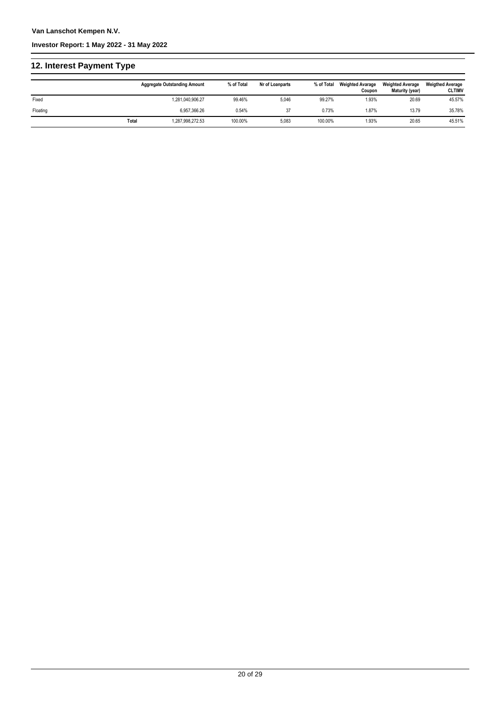### **12. Interest Payment Type**

|          |       | <b>Aggregate Outstanding Amount</b> | % of Total | Nr of Loanparts | % of Total | <b>Weighted Avarage</b><br>Coupon | <b>Weighted Average</b><br>Maturity (year) | <b>Weigthed Average</b><br><b>CLTIMV</b> |
|----------|-------|-------------------------------------|------------|-----------------|------------|-----------------------------------|--------------------------------------------|------------------------------------------|
| Fixed    |       | 1,281,040,906.27                    | 99.46%     | 5,046           | 99.27%     | 1.93%                             | 20.69                                      | 45.57%                                   |
| Floating |       | 6.957.366.26                        | 0.54%      | 37              | 0.73%      | 1.87%                             | 13.79                                      | 35.78%                                   |
|          | Total | 1,287,998,272.53                    | 100.00%    | 5,083           | 100.00%    | 1.93%                             | 20.65                                      | 45.51%                                   |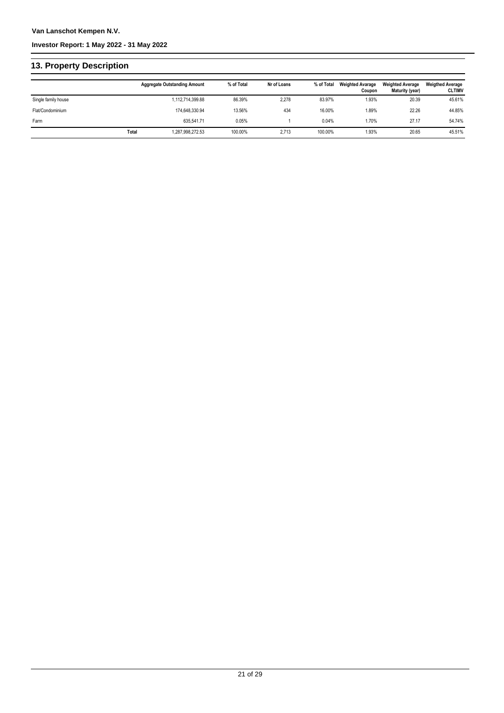### **13. Property Description**

|                     |       | <b>Aggregate Outstanding Amount</b> | % of Total | Nr of Loans | % of Total | <b>Weighted Avarage</b><br>Coupon | <b>Weighted Average</b><br>Maturity (year) | <b>Weigthed Average</b><br><b>CLTIMV</b> |
|---------------------|-------|-------------------------------------|------------|-------------|------------|-----------------------------------|--------------------------------------------|------------------------------------------|
| Single family house |       | 1,112,714,399.88                    | 86.39%     | 2,278       | 83.97%     | 1.93%                             | 20.39                                      | 45.61%                                   |
| Flat/Condominium    |       | 174.648.330.94                      | 13.56%     | 434         | 16.00%     | 1.89%                             | 22.26                                      | 44.85%                                   |
| Farm                |       | 635.541.71                          | 0.05%      |             | 0.04%      | 1.70%                             | 27.17                                      | 54.74%                                   |
|                     | Total | 1,287,998,272.53                    | 100.00%    | 2,713       | 100.00%    | 1.93%                             | 20.65                                      | 45.51%                                   |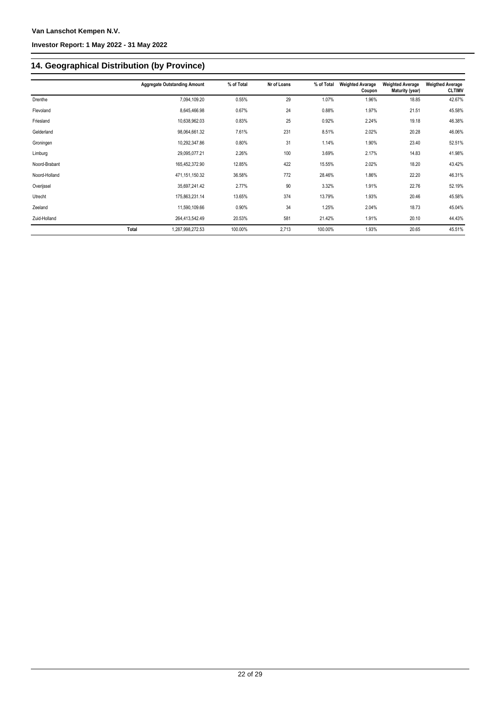## **14. Geographical Distribution (by Province)**

|               |       | <b>Aggregate Outstanding Amount</b> | % of Total | Nr of Loans | % of Total | <b>Weighted Avarage</b><br>Coupon | <b>Weighted Average</b><br>Maturity (year) | <b>Weigthed Average</b><br><b>CLTIMV</b> |
|---------------|-------|-------------------------------------|------------|-------------|------------|-----------------------------------|--------------------------------------------|------------------------------------------|
| Drenthe       |       | 7,094,109.20                        | 0.55%      | 29          | 1.07%      | 1.96%                             | 18.85                                      | 42.67%                                   |
| Flevoland     |       | 8,645,466.98                        | 0.67%      | 24          | 0.88%      | 1.97%                             | 21.51                                      | 45.58%                                   |
| Friesland     |       | 10,638,962.03                       | 0.83%      | 25          | 0.92%      | 2.24%                             | 19.18                                      | 46.38%                                   |
| Gelderland    |       | 98,064,661.32                       | 7.61%      | 231         | 8.51%      | 2.02%                             | 20.28                                      | 46.06%                                   |
| Groningen     |       | 10,292,347.86                       | 0.80%      | 31          | 1.14%      | 1.90%                             | 23.40                                      | 52.51%                                   |
| Limburg       |       | 29,095,077.21                       | 2.26%      | 100         | 3.69%      | 2.17%                             | 14.83                                      | 41.98%                                   |
| Noord-Brabant |       | 165,452,372.90                      | 12.85%     | 422         | 15.55%     | 2.02%                             | 18.20                                      | 43.42%                                   |
| Noord-Holland |       | 471,151,150.32                      | 36.58%     | 772         | 28.46%     | 1.86%                             | 22.20                                      | 46.31%                                   |
| Overijssel    |       | 35,697,241.42                       | 2.77%      | 90          | 3.32%      | 1.91%                             | 22.76                                      | 52.19%                                   |
| Utrecht       |       | 175,863,231.14                      | 13.65%     | 374         | 13.79%     | 1.93%                             | 20.46                                      | 45.58%                                   |
| Zeeland       |       | 11,590,109.66                       | 0.90%      | 34          | 1.25%      | 2.04%                             | 18.73                                      | 45.04%                                   |
| Zuid-Holland  |       | 264,413,542.49                      | 20.53%     | 581         | 21.42%     | 1.91%                             | 20.10                                      | 44.43%                                   |
|               | Total | 1,287,998,272.53                    | 100.00%    | 2,713       | 100.00%    | 1.93%                             | 20.65                                      | 45.51%                                   |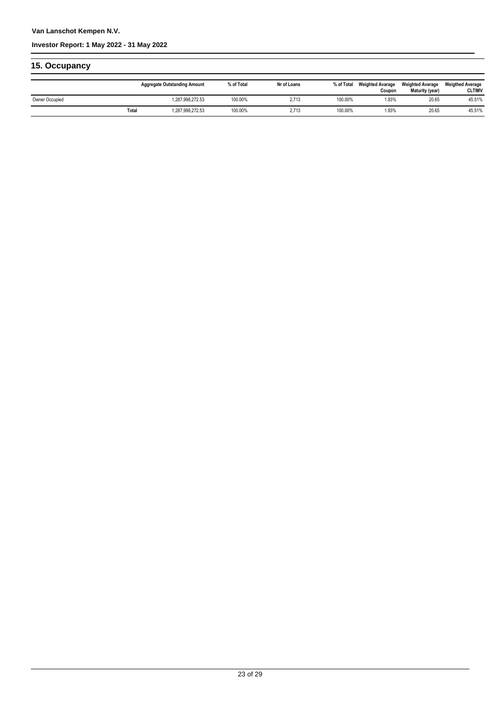### **Van Lanschot Kempen N.V.**

### **Investor Report: 1 May 2022 - 31 May 2022**

| 15. Occupancy  |       |                                     |            |             |            |                                   |                                            |                                          |
|----------------|-------|-------------------------------------|------------|-------------|------------|-----------------------------------|--------------------------------------------|------------------------------------------|
|                |       | <b>Aggregate Outstanding Amount</b> | % of Total | Nr of Loans | % of Total | <b>Weighted Avarage</b><br>Coupon | <b>Weighted Average</b><br>Maturity (year) | <b>Weigthed Average</b><br><b>CLTIMV</b> |
| Owner Occupied |       | 1,287,998,272.53                    | 100.00%    | 2.713       | 100.00%    | 1.93%                             | 20.65                                      | 45.51%                                   |
|                | Total | 1.287.998.272.53                    | 100.00%    | 2.713       | 100.00%    | 1.93%                             | 20.65                                      | 45.51%                                   |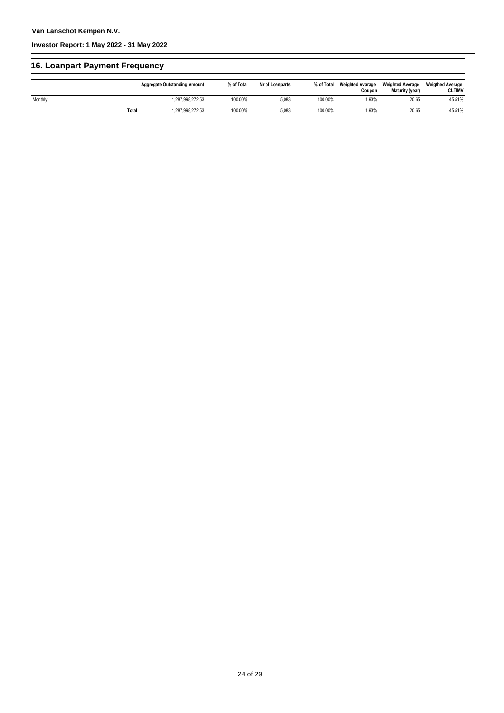### **16. Loanpart Payment Frequency**

|         |       | <b>Aggregate Outstanding Amount</b> | % of Total | Nr of Loanparts | % of Total | <b>Weighted Avarage</b><br>Coupon | <b>Weighted Average</b><br>Maturity (year) | <b>Weigthed Average</b><br><b>CLTIMV</b> |
|---------|-------|-------------------------------------|------------|-----------------|------------|-----------------------------------|--------------------------------------------|------------------------------------------|
| Monthly |       | 1.287.998.272.53                    | 100.00%    | 5.083           | 100.00%    | 1.93%                             | 20.65                                      | 45.51%                                   |
|         | Total | 1,287,998,272.53                    | 100.00%    | 5,083           | 100.00%    | 1.93%                             | 20.65                                      | 45.51%                                   |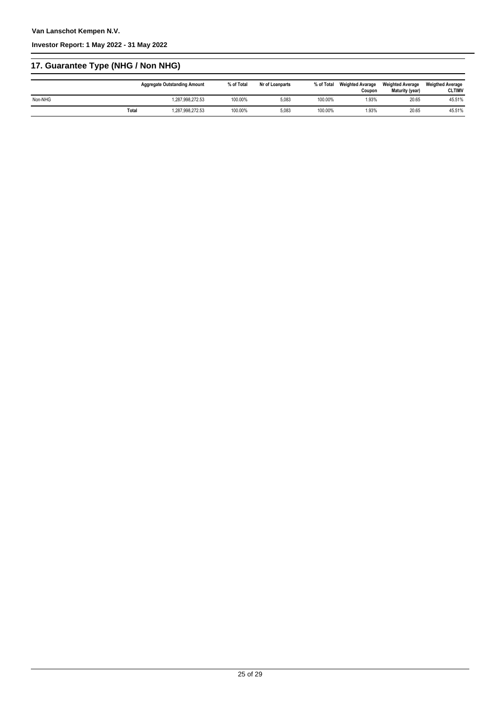## **17. Guarantee Type (NHG / Non NHG)**

|         |       | <b>Aggregate Outstanding Amount</b> | % of Total | Nr of Loanparts | % of Total | <b>Weighted Avarage</b><br>Coupon | <b>Weighted Average</b><br>Maturity (year) | <b>Weigthed Average</b><br><b>CLTIMV</b> |
|---------|-------|-------------------------------------|------------|-----------------|------------|-----------------------------------|--------------------------------------------|------------------------------------------|
| Non-NHG |       | 1.287.998.272.53                    | 100.00%    | 5.083           | 100.00%    | 1.93%                             | 20.65                                      | 45.51%                                   |
|         | Total | 1,287,998,272.53                    | 100.00%    | 5,083           | 100.00%    | 1.93%                             | 20.65                                      | 45.51%                                   |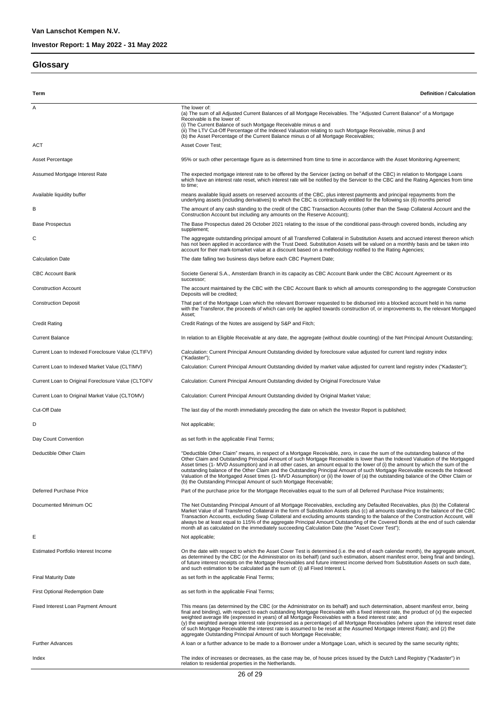#### **Glossary**

**Term Definition / Calculation** A The lower of: (a) The sum of all Adjusted Current Balances of all Mortgage Receivables. The "Adjusted Current Balance" of a Mortgage Receivable is the lower of: (i) The Current Balance of such Mortgage Receivable minus α and<br>(ii) The LTV Cut-Off Percentage of the Indexed Valuation relating to such Mortgage Receivable, minus β and<br>(b) the Asset Percentage of the Current Balance mi ACT ACT Asset Cover Test: Asset Percentage entity and the state of the Percentage figure as is determined from time to time in accordance with the Asset Monitoring Agreement; Assumed Mortgage Interest Rate The Expected mortgage interest rate to be offered by the Servicer (acting on behalf of the CBC) in relation to Mortgage Loans which have an interest rate reset, which interest rate will be notified by the Servicer to the CBC and the Rating Agencies from time to time; means available liquid assets on reserved accounts of the CBC, plus interest payments and principal repayments from the<br>underlying assets (including derivatives) to which the CBC is contractually entitled for the following B The amount of any cash standing to the credit of the CBC Transaction Accounts (other than the Swap Collateral Account and the Construction Account but including any amounts on the Reserve Account); Base Prospectus The Base Prospectus dated 26 October 2021 relating to the issue of the conditional pass-through covered bonds, including any supplement; The aggregate outstanding principal amount of all Transferred Collateral in Substitution Assets and accrued interest thereon which<br>has not been applied in accordance with the Trust Deed. Substitution Assets will be valued account for their mark-tomarket value at a discount based on a methodology notified to the Rating Agencies; Calculation Date The date falling two business days before each CBC Payment Date; CBC Account Bank Societe General S.A., Amsterdam Branch in its capacity as CBC Account Bank under the CBC Account Agreement or its successor; Construction Account maintained by the CBC with the CBC Account Bank to which all amounts corresponding to the aggregate Construction Deposits will be credited; Construction Deposit That part of the Mortgage Loan which the relevant Borrower requested to be disbursed into a blocked account held in his name with the Transferor, the proceeds of which can only be applied towards construction of, or improvements to, the relevant Mortgaged Asset; Credit Rating Credit Ratings of the Notes are assigend by S&P and Fitch; Current Balance In relation to an Eligible Receivable at any date, the aggregate (without double counting) of the Net Principal Amount Outstanding; Current Loan to Indexed Foreclosure Value (CLTIFV) Calculation: Current Principal Amount Outstanding divided by foreclosure value adjusted for current land registry index ("Kadaster"); Current Loan to Indexed Market Value (CLTIMV) Calculation: Current Principal Amount Outstanding divided by market value adjusted for current land registry index ("Kadaster"); Current Loan to Original Foreclosure Value (CLTOFV Calculation: Current Principal Amount Outstanding divided by Original Foreclosure Value Current Loan to Original Market Value (CLTOMV) Calculation: Current Principal Amount Outstanding divided by Original Market Value; Cut-Off Date The last day of the month immediately preceding the date on which the Investor Report is published; D Not applicable; Day Count Convention **by Count Convention** as set forth in the applicable Final Terms; "Deductible Other Claim" means, in respect of a Mortgage Receivable, zero, in case the sum of the outstanding balance of the<br>Other Claim and Outstanding Principal Amount of such Mortgage Receivable is lower than the Indexe Asset times (1- MVD Assumption) and in all other cases, an amount equal to the lower of (i) the amount by which the sum of the<br>outstanding balance of the Other Claim and the Outstanding Principal Amount of such Mortgage Re Valuation of the Mortgaged Asset times (1- MVD Assumption) or (ii) the lower of (a) the outstanding balance of the Other Claim or (b) the Outstanding Principal Amount of such Mortgage Receivable; Deferred Purchase Price Price Price Price Part of the purchase price for the Mortgage Receivables equal to the sum of all Deferred Purchase Price Instalments; Documented Minimum OC<br>Market Value of all Transferred Collateral in the form of Substitution Assets plus (c) all amounts standing to the balance of the CBC<br>Market Value of all Transferred Collateral in the form of Substitu E Estimated Portfolio Interest Income **On the Cate with respect to which the Asset Cover Test** is determined (i.e. the end of each calendar month), the aggregate amount, as determined by the CBC (or the Administrator on its behalf) (and such estimation, absent manifest error, being final and binding), of future interest receipts on the Mortgage Receivables and future interest income derived from Substitution Assets on such date,<br>and such estimation to be calculated as the sum of: (i) all Fixed Interest L Final Maturity Date and the applicable Final Terms; as set forth in the applicable Final Terms; First Optional Redemption Date as set forth in the applicable Final Terms; Fixed Interest Loan Payment Amount This means (as determined by the CBC (or the Administrator on its behalf) and such determination, absent manifest error, being final and binding), with respect to each outstanding Mortgage Receivable with a fixed interest rate, the product of (x) the expected<br>weighted average life (expressed in years) of all Mortgage Receivables with a fixed inter of such Mortgage Receivable the interest rate is assumed to be reset at the Assumed Mortgage Interest Rate); and (z) the aggregate Outstanding Principal Amount of such Mortgage Receivable; Further Advances **A** loan or a further advance to be made to a Borrower under a Mortgage Loan, which is secured by the same security rights; Index the index of increases or decreases, as the case may be, of house prices issued by the Dutch Land Registry ("Kadaster") in relation to residential properties in the Netherlands.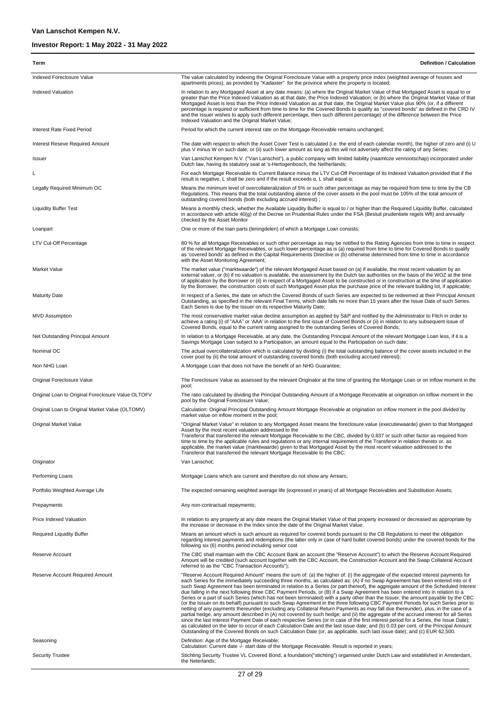| Term                                               | <b>Definition / Calculation</b>                                                                                                                                                                                                                                                                                                                                                                                                                                                                                                                                                                                                                                                                                                                                                                                                                                                                                                                                                                                                                                                                                                                                                                                                                                                                                                                                                                                                                                                                             |
|----------------------------------------------------|-------------------------------------------------------------------------------------------------------------------------------------------------------------------------------------------------------------------------------------------------------------------------------------------------------------------------------------------------------------------------------------------------------------------------------------------------------------------------------------------------------------------------------------------------------------------------------------------------------------------------------------------------------------------------------------------------------------------------------------------------------------------------------------------------------------------------------------------------------------------------------------------------------------------------------------------------------------------------------------------------------------------------------------------------------------------------------------------------------------------------------------------------------------------------------------------------------------------------------------------------------------------------------------------------------------------------------------------------------------------------------------------------------------------------------------------------------------------------------------------------------------|
| Indexed Foreclosure Value                          | The value calculated by indexing the Original Foreclosure Value with a property price index (weighted average of houses and<br>apartments prices), as provided by "Kadaster" for the province where the property is located;                                                                                                                                                                                                                                                                                                                                                                                                                                                                                                                                                                                                                                                                                                                                                                                                                                                                                                                                                                                                                                                                                                                                                                                                                                                                                |
| <b>Indexed Valuation</b>                           | In relation to any Mortgaged Asset at any date means: (a) where the Original Market Value of that Mortgaged Asset is equal to or<br>greater than the Price Indexed Valuation as at that date, the Price Indexed Valuation; or (b) where the Original Market Value of that<br>Mortgaged Asset is less than the Price Indexed Valuation as at that date, the Original Market Value plus 90% (or, if a different<br>percentage is required or sufficient from time to time for the Covered Bonds to qualify as "covered bonds" as defined in the CRD IV<br>and the Issuer wishes to apply such different percentage, then such different percentage) of the difference between the Price                                                                                                                                                                                                                                                                                                                                                                                                                                                                                                                                                                                                                                                                                                                                                                                                                       |
| Interest Rate Fixed Period                         | Indexed Valuation and the Original Market Value;<br>Period for which the current interest rate on the Mortgage Receivable remains unchanged;                                                                                                                                                                                                                                                                                                                                                                                                                                                                                                                                                                                                                                                                                                                                                                                                                                                                                                                                                                                                                                                                                                                                                                                                                                                                                                                                                                |
| <b>Interest Reseve Required Amount</b>             | The date with respect to which the Asset Cover Test is calculated (i.e. the end of each calendar month), the higher of zero and (i) U                                                                                                                                                                                                                                                                                                                                                                                                                                                                                                                                                                                                                                                                                                                                                                                                                                                                                                                                                                                                                                                                                                                                                                                                                                                                                                                                                                       |
| Issuer                                             | plus V minus W on such date; or (ii) such lower amount as long as this will not adversely affect the rating of any Series;<br>Van Lanschot Kempen N.V. ("Van Lanschot"), a public company with limited liability (naamloze vennootschap) incorporated under<br>Dutch law, having its statutory seat at 's-Hertogenbosch, the Netherlands;                                                                                                                                                                                                                                                                                                                                                                                                                                                                                                                                                                                                                                                                                                                                                                                                                                                                                                                                                                                                                                                                                                                                                                   |
|                                                    | For each Mortgage Receivable its Current Balance minus the LTV Cut-Off Percentage of its Indexed Valuation provided that if the<br>result is negative, L shall be zero and if the result exceeds $\alpha$ , L shall equal $\alpha$ ;                                                                                                                                                                                                                                                                                                                                                                                                                                                                                                                                                                                                                                                                                                                                                                                                                                                                                                                                                                                                                                                                                                                                                                                                                                                                        |
| Legally Required Minimum OC                        | Means the minimum level of overcollateralization of 5% or such other percentage as may be required from time to time by the CB<br>Regulations. This means that the total outstanding alance of the cover assets in the pool must be 105% of the total amount of<br>outstanding covered bonds (both excluding accrued interest);                                                                                                                                                                                                                                                                                                                                                                                                                                                                                                                                                                                                                                                                                                                                                                                                                                                                                                                                                                                                                                                                                                                                                                             |
| <b>Liquidity Buffer Test</b>                       | Means a monthly check, whether the Available Liquidity Buffer is equal to / or higher than the Required Liquidity Buffer, calculated<br>in accordance with article 40(g) of the Decree on Prudential Rules under the FSA (Besluit prudentiele regels Wft) and annually<br>checked by the Asset Monitor                                                                                                                                                                                                                                                                                                                                                                                                                                                                                                                                                                                                                                                                                                                                                                                                                                                                                                                                                                                                                                                                                                                                                                                                      |
| Loanpart                                           | One or more of the loan parts (leningdelen) of which a Mortgage Loan consists;                                                                                                                                                                                                                                                                                                                                                                                                                                                                                                                                                                                                                                                                                                                                                                                                                                                                                                                                                                                                                                                                                                                                                                                                                                                                                                                                                                                                                              |
| LTV Cut-Off Percentage                             | 80 % for all Mortgage Receivables or such other percentage as may be notified to the Rating Agencies from time to time in respect<br>of the relevant Mortgage Receivables, or such lower percentage as is (a) required from time to time for Covered Bonds to qualify<br>as 'covered bonds' as defined in the Capital Requirements Directive or (b) otherwise determined from time to time in accordance<br>with the Asset Monitoring Agreement;                                                                                                                                                                                                                                                                                                                                                                                                                                                                                                                                                                                                                                                                                                                                                                                                                                                                                                                                                                                                                                                            |
| <b>Market Value</b>                                | The market value ("marktwaarde") of the relevant Mortgaged Asset based on (a) if available, the most recent valuation by an<br>external valuer, or (b) if no valuation is available, the assessment by the Dutch tax authorities on the basis of the WOZ at the time<br>of application by the Borrower or (ii) in respect of a Mortgaged Asset to be constructed or in construction at the time of application<br>by the Borrower, the construction costs of such Mortgaged Asset plus the purchase price of the relevant building lot, if applicable;                                                                                                                                                                                                                                                                                                                                                                                                                                                                                                                                                                                                                                                                                                                                                                                                                                                                                                                                                      |
| <b>Maturity Date</b>                               | In respect of a Series, the date on which the Covered Bonds of such Series are expected to be redeemed at their Principal Amount<br>Outstanding, as specified in the relevant Final Terms, which date falls no more than 15 years after the Issue Date of such Series.<br>Each Series is due by the Issuer on its respective Maturity Date;                                                                                                                                                                                                                                                                                                                                                                                                                                                                                                                                                                                                                                                                                                                                                                                                                                                                                                                                                                                                                                                                                                                                                                 |
| <b>MVD Assumption</b>                              | The most conservative market value decline assumption as applied by S&P and notified by the Administrator to Fitch in order to<br>achieve a rating (i) of "AAA" or 'AAA" in relation to the first issue of Covered Bonds or (ii) in relation to any subsequent issue of<br>Covered Bonds, equal to the current rating assigned to the outstanding Series of Covered Bonds;                                                                                                                                                                                                                                                                                                                                                                                                                                                                                                                                                                                                                                                                                                                                                                                                                                                                                                                                                                                                                                                                                                                                  |
| Net Outstanding Principal Amount                   | In relation to a Mortgage Receivable, at any date, the Outstanding Principal Amount of the relevant Mortgage Loan less, if it is a<br>Savings Mortgage Loan subject to a Participation, an amount equal to the Participation on such date;                                                                                                                                                                                                                                                                                                                                                                                                                                                                                                                                                                                                                                                                                                                                                                                                                                                                                                                                                                                                                                                                                                                                                                                                                                                                  |
| Nominal OC                                         | The actual overcollateralization which is calculated by dividing (i) the total outstanding balance of the cover assets included in the<br>cover pool by (ii) the total amount of outstanding covered bonds (both excluding accrued interest);                                                                                                                                                                                                                                                                                                                                                                                                                                                                                                                                                                                                                                                                                                                                                                                                                                                                                                                                                                                                                                                                                                                                                                                                                                                               |
| Non NHG Loan                                       | A Mortgage Loan that does not have the benefit of an NHG Guarantee;                                                                                                                                                                                                                                                                                                                                                                                                                                                                                                                                                                                                                                                                                                                                                                                                                                                                                                                                                                                                                                                                                                                                                                                                                                                                                                                                                                                                                                         |
| Original Foreclosure Value                         | The Foreclosure Value as assessed by the relevant Originator at the time of granting the Mortgage Loan or on inflow moment in the<br>pool;                                                                                                                                                                                                                                                                                                                                                                                                                                                                                                                                                                                                                                                                                                                                                                                                                                                                                                                                                                                                                                                                                                                                                                                                                                                                                                                                                                  |
| Original Loan to Original Foreclosure Value OLTOFV | The ratio calculated by dividing the Principal Outstanding Amount of a Mortgage Receivable at origination on inflow moment in the<br>pool by the Original Foreclosure Value;                                                                                                                                                                                                                                                                                                                                                                                                                                                                                                                                                                                                                                                                                                                                                                                                                                                                                                                                                                                                                                                                                                                                                                                                                                                                                                                                |
| Original Loan to Original Market Value (OLTOMV)    | Calculation: Original Principal Outstanding Amount Mortgage Receivable at origination on inflow moment in the pool divided by<br>market value on inflow moment in the pool;                                                                                                                                                                                                                                                                                                                                                                                                                                                                                                                                                                                                                                                                                                                                                                                                                                                                                                                                                                                                                                                                                                                                                                                                                                                                                                                                 |
| Original Market Value                              | "Original Market Value" in relation to any Mortgaged Asset means the foreclosure value (executiewaarde) given to that Mortgaged<br>Asset by the most recent valuation addressed to the<br>Transferor that transferred the relevant Mortgage Receivable to the CBC, divided by 0.837 or such other factor as required from<br>time to time by the applicable rules and regulations or any internal requirement of the Transferor in relation thereto or, as<br>applicable, the market value (marktwaarde) given to that Mortgaged Asset by the most recent valuation addressed to the<br>Transferor that transferred the relevant Mortgage Receivable to the CBC;                                                                                                                                                                                                                                                                                                                                                                                                                                                                                                                                                                                                                                                                                                                                                                                                                                            |
| Originator                                         | Van Lanschot;                                                                                                                                                                                                                                                                                                                                                                                                                                                                                                                                                                                                                                                                                                                                                                                                                                                                                                                                                                                                                                                                                                                                                                                                                                                                                                                                                                                                                                                                                               |
| Performing Loans                                   | Mortgage Loans which are current and therefore do not show any Arrears;                                                                                                                                                                                                                                                                                                                                                                                                                                                                                                                                                                                                                                                                                                                                                                                                                                                                                                                                                                                                                                                                                                                                                                                                                                                                                                                                                                                                                                     |
| Portfolio Weighted Average Life                    | The expected remaining weighted average life (expressed in years) of all Mortgage Receivables and Substitution Assets;                                                                                                                                                                                                                                                                                                                                                                                                                                                                                                                                                                                                                                                                                                                                                                                                                                                                                                                                                                                                                                                                                                                                                                                                                                                                                                                                                                                      |
| Prepayments                                        | Any non-contractual repayments;                                                                                                                                                                                                                                                                                                                                                                                                                                                                                                                                                                                                                                                                                                                                                                                                                                                                                                                                                                                                                                                                                                                                                                                                                                                                                                                                                                                                                                                                             |
| Price Indexed Valuation                            | In relation to any property at any date means the Original Market Value of that property increased or decreased as appropriate by<br>the increase or decrease in the Index since the date of the Original Market Value;                                                                                                                                                                                                                                                                                                                                                                                                                                                                                                                                                                                                                                                                                                                                                                                                                                                                                                                                                                                                                                                                                                                                                                                                                                                                                     |
| <b>Required Liquidity Buffer</b>                   | Means an amount which is such amount as required for covered bonds pursuant to the CB Requlations to meet the obligation<br>regarding interest payments and redemptions (the latter only in case of hard bullet covered bonds) under the covered bonds for the<br>following six (6) months period including senior cost                                                                                                                                                                                                                                                                                                                                                                                                                                                                                                                                                                                                                                                                                                                                                                                                                                                                                                                                                                                                                                                                                                                                                                                     |
| Reserve Account                                    | The CBC shall maintain with the CBC Account Bank an account (the "Reserve Account") to which the Reserve Account Required<br>Amount will be credited (such account together with the CBC Account, the Construction Account and the Swap Collateral Account<br>referred to as the "CBC Transaction Accounts");                                                                                                                                                                                                                                                                                                                                                                                                                                                                                                                                                                                                                                                                                                                                                                                                                                                                                                                                                                                                                                                                                                                                                                                               |
| Reserve Account Required Amount                    | "Reserve Account Required Amount" means the sum of: (a) the higher of: (i) the aggregate of the expected interest payments for<br>each Series for the immediately succeeding three months, as calculated as: (A) if no Swap Agreement has been entered into or if<br>such Swap Agreement has been terminated in relation to a Series (or part thereof), the aggregate amount of the Scheduled Interest<br>due falling in the next following three CBC Payment Periods, or (B) if a Swap Agreement has been entered into in relation to a<br>Series or a part of such Series (which has not been terminated) with a party other than the Issuer, the amount payable by the CBC<br>(or the Issuer on its behalf) pursuant to such Swap Agreement in the three following CBC Payment Periods for such Series prior to<br>netting of any payments thereunder (excluding any Collateral Return Payments as may fall due thereunder), plus, in the case of a<br>partial hedge, any amount described in (A) not covered by such hedge; and (ii) the aggregate of the accrued interest for all Series<br>since the last Interest Payment Date of each respective Series (or in case of the first interest period for a Series, the Issue Date);<br>as calculated on the later to occur of each Calculation Date and the last issue date; and (b) 0.03 per cent. of the Principal Amount<br>Outstanding of the Covered Bonds on such Calculation Date (or, as applicable, such last issue date); and (c) EUR 62,500. |
| Seasoning                                          | Definition: Age of the Mortgage Receivable;<br>Calculation: Current date -/- start date of the Mortgage Receivable. Result is reported in years;                                                                                                                                                                                                                                                                                                                                                                                                                                                                                                                                                                                                                                                                                                                                                                                                                                                                                                                                                                                                                                                                                                                                                                                                                                                                                                                                                            |
| <b>Security Trustee</b>                            | Stichting Security Trustee VL Covered Bond, a foundation ("stichting") organised under Dutch Law and established in Amsterdam,<br>the Neterlands;                                                                                                                                                                                                                                                                                                                                                                                                                                                                                                                                                                                                                                                                                                                                                                                                                                                                                                                                                                                                                                                                                                                                                                                                                                                                                                                                                           |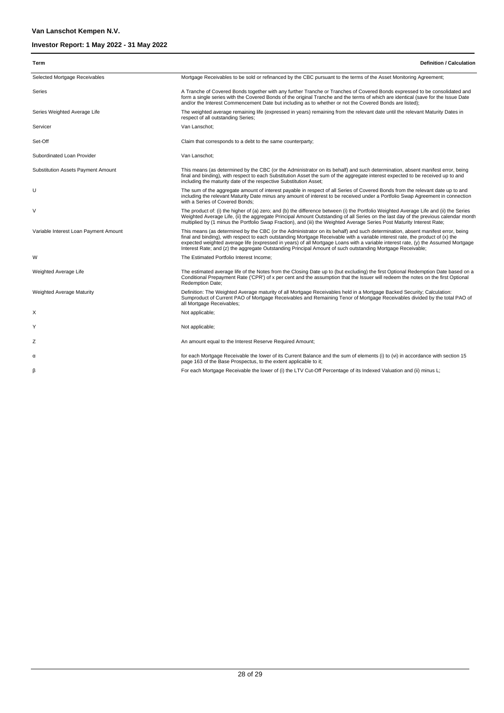| Term                                  | <b>Definition / Calculation</b>                                                                                                                                                                                                                                                                                                                                                                                                                                                                                     |
|---------------------------------------|---------------------------------------------------------------------------------------------------------------------------------------------------------------------------------------------------------------------------------------------------------------------------------------------------------------------------------------------------------------------------------------------------------------------------------------------------------------------------------------------------------------------|
| Selected Mortgage Receivables         | Mortgage Receivables to be sold or refinanced by the CBC pursuant to the terms of the Asset Monitoring Agreement;                                                                                                                                                                                                                                                                                                                                                                                                   |
| Series                                | A Tranche of Covered Bonds together with any further Tranche or Tranches of Covered Bonds expressed to be consolidated and<br>form a single series with the Covered Bonds of the original Tranche and the terms of which are identical (save for the Issue Date<br>and/or the Interest Commencement Date but including as to whether or not the Covered Bonds are listed);                                                                                                                                          |
| Series Weighted Average Life          | The weighted average remaining life (expressed in years) remaining from the relevant date until the relevant Maturity Dates in<br>respect of all outstanding Series;                                                                                                                                                                                                                                                                                                                                                |
| Servicer                              | Van Lanschot:                                                                                                                                                                                                                                                                                                                                                                                                                                                                                                       |
| Set-Off                               | Claim that corresponds to a debt to the same counterparty;                                                                                                                                                                                                                                                                                                                                                                                                                                                          |
| Subordinated Loan Provider            | Van Lanschot:                                                                                                                                                                                                                                                                                                                                                                                                                                                                                                       |
| Substitution Assets Payment Amount    | This means (as determined by the CBC (or the Administrator on its behalf) and such determination, absent manifest error, being<br>final and binding), with respect to each Substitution Asset the sum of the aggregate interest expected to be received up to and<br>including the maturity date of the respective Substitution Asset;                                                                                                                                                                              |
| U                                     | The sum of the aggregate amount of interest payable in respect of all Series of Covered Bonds from the relevant date up to and<br>including the relevant Maturity Date minus any amount of interest to be received under a Portfolio Swap Agreement in connection<br>with a Series of Covered Bonds:                                                                                                                                                                                                                |
| V                                     | The product of: (i) the higher of (a) zero; and (b) the difference between (i) the Portfolio Weighted Average Life and (ii) the Series<br>Weighted Average Life, (ii) the aggregate Principal Amount Outstanding of all Series on the last day of the previous calendar month<br>multiplied by (1 minus the Portfolio Swap Fraction), and (iii) the Weighted Average Series Post Maturity Interest Rate;                                                                                                            |
| Variable Interest Loan Payment Amount | This means (as determined by the CBC (or the Administrator on its behalf) and such determination, absent manifest error, being<br>final and binding), with respect to each outstanding Mortgage Receivable with a variable interest rate, the product of (x) the<br>expected weighted average life (expressed in years) of all Mortgage Loans with a variable interest rate, (y) the Assumed Mortgage<br>Interest Rate; and (z) the aggregate Outstanding Principal Amount of such outstanding Mortgage Receivable; |
| W                                     | The Estimated Portfolio Interest Income;                                                                                                                                                                                                                                                                                                                                                                                                                                                                            |
| Weighted Average Life                 | The estimated average life of the Notes from the Closing Date up to (but excluding) the first Optional Redemption Date based on a<br>Conditional Prepayment Rate ('CPR') of x per cent and the assumption that the Issuer will redeem the notes on the first Optional<br>Redemption Date;                                                                                                                                                                                                                           |
| Weighted Average Maturity             | Definition: The Weighted Average maturity of all Mortgage Receivables held in a Mortgage Backed Security; Calculation:<br>Sumproduct of Current PAO of Mortgage Receivables and Remaining Tenor of Mortgage Receivables divided by the total PAO of<br>all Mortgage Receivables;                                                                                                                                                                                                                                    |
| Х                                     | Not applicable;                                                                                                                                                                                                                                                                                                                                                                                                                                                                                                     |
| Y                                     | Not applicable;                                                                                                                                                                                                                                                                                                                                                                                                                                                                                                     |
| Ζ                                     | An amount equal to the Interest Reserve Required Amount;                                                                                                                                                                                                                                                                                                                                                                                                                                                            |
| α                                     | for each Mortgage Receivable the lower of its Current Balance and the sum of elements (i) to (vi) in accordance with section 15<br>page 163 of the Base Prospectus, to the extent applicable to it;                                                                                                                                                                                                                                                                                                                 |
| β                                     | For each Mortgage Receivable the lower of (i) the LTV Cut-Off Percentage of its Indexed Valuation and (ii) minus L;                                                                                                                                                                                                                                                                                                                                                                                                 |